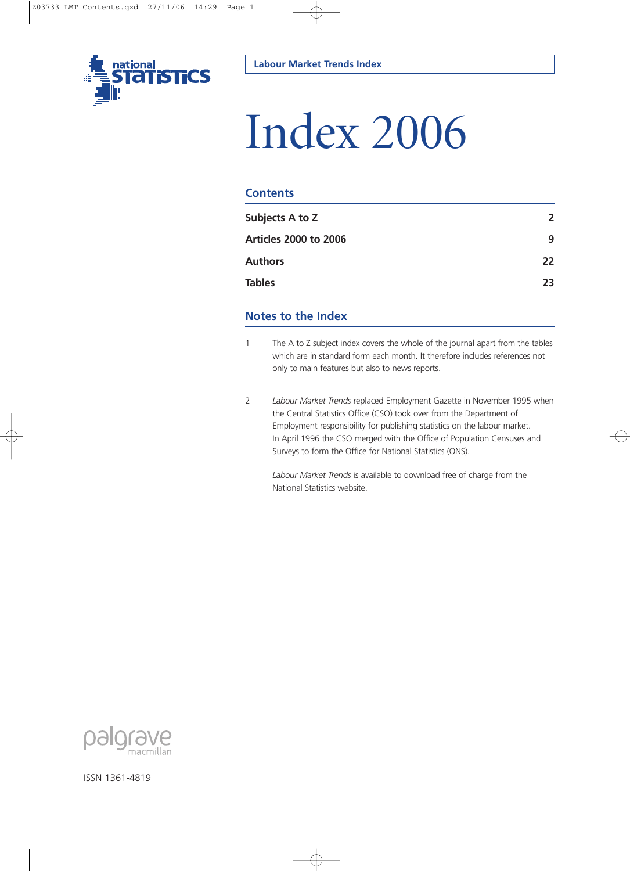

# Index 2006

## **Contents**

| Subjects A to Z              | $\overline{2}$ |
|------------------------------|----------------|
| <b>Articles 2000 to 2006</b> | 9              |
| <b>Authors</b>               | 22             |
| <b>Tables</b>                | 23             |
|                              |                |

# **Notes to the Index**

- 1 The A to Z subject index covers the whole of the journal apart from the tables which are in standard form each month. It therefore includes references not only to main features but also to news reports.
- 2 *Labour Market Trends* replaced Employment Gazette in November 1995 when the Central Statistics Office (CSO) took over from the Department of Employment responsibility for publishing statistics on the labour market. In April 1996 the CSO merged with the Office of Population Censuses and Surveys to form the Office for National Statistics (ONS).

*Labour Market Trends* is available to download free of charge from the National Statistics website.



ISSN 1361-4819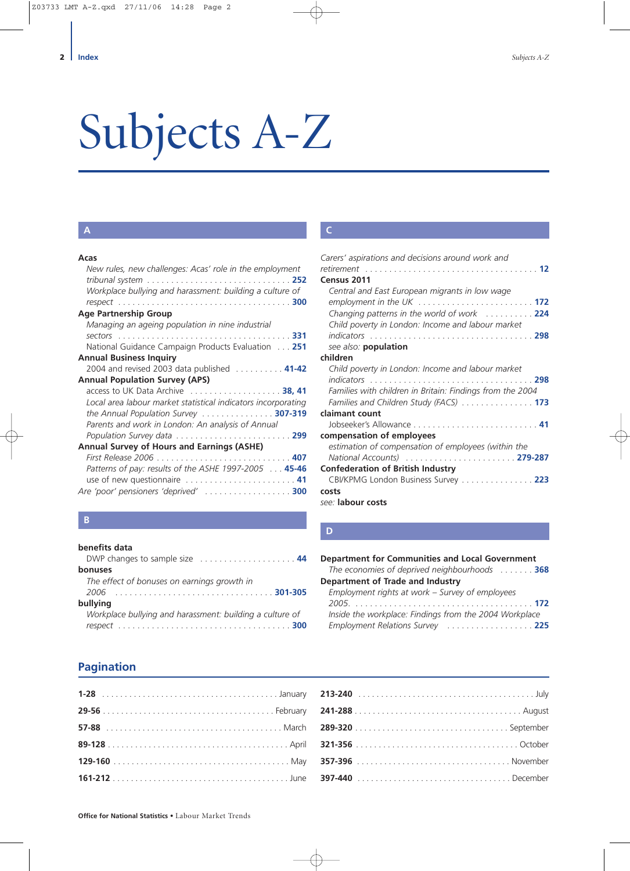# <span id="page-1-0"></span>Subjects A-Z

# **A**

| Acas                                                                                        |
|---------------------------------------------------------------------------------------------|
| New rules, new challenges: Acas' role in the employment                                     |
| tribunal system $\ldots \ldots \ldots \ldots \ldots \ldots \ldots \ldots \ldots \ldots$ 252 |
| Workplace bullying and harassment: building a culture of                                    |
|                                                                                             |
| <b>Age Partnership Group</b>                                                                |
| Managing an ageing population in nine industrial                                            |
|                                                                                             |
| National Guidance Campaign Products Evaluation 251                                          |
| <b>Annual Business Inquiry</b>                                                              |
| 2004 and revised 2003 data published 41-42                                                  |
| <b>Annual Population Survey (APS)</b>                                                       |
| access to UK Data Archive $\ldots \ldots \ldots \ldots \ldots 38, 41$                       |
| Local area labour market statistical indicators incorporating                               |
| the Annual Population Survey  307-319                                                       |
| Parents and work in London: An analysis of Annual                                           |
|                                                                                             |
| <b>Annual Survey of Hours and Earnings (ASHE)</b>                                           |
|                                                                                             |
| Patterns of pay: results of the ASHE 1997-2005 45-46                                        |
|                                                                                             |
| Are 'poor' pensioners 'deprived'  300                                                       |

## **B**

#### **benefits data**

| DWP changes to sample size  44                           |
|----------------------------------------------------------|
| bonuses                                                  |
| The effect of bonuses on earnings growth in              |
|                                                          |
| bullying                                                 |
| Workplace bullying and harassment: building a culture of |
|                                                          |

# **Pagination**

# **C**

| Carers' aspirations and decisions around work and                                                    |
|------------------------------------------------------------------------------------------------------|
|                                                                                                      |
| Census 2011                                                                                          |
| Central and East European migrants in low wage                                                       |
| employment in the UK $\ldots \ldots \ldots \ldots \ldots \ldots \ldots \ldots$                       |
| Changing patterns in the world of work  224                                                          |
| Child poverty in London: Income and labour market                                                    |
|                                                                                                      |
| see also: <b>population</b>                                                                          |
| children                                                                                             |
| Child poverty in London: Income and labour market                                                    |
| indicators 298                                                                                       |
| Families with children in Britain: Findings from the 2004                                            |
| Families and Children Study (FACS) 173                                                               |
| claimant count                                                                                       |
|                                                                                                      |
| compensation of employees                                                                            |
| estimation of compensation of employees (within the                                                  |
| National Accounts (all entertainments) and all entertainments are not all entertainments and 279-287 |
| <b>Confederation of British Industry</b>                                                             |
| CBI/KPMG London Business Survey 223                                                                  |
| costs                                                                                                |
| see: labour costs                                                                                    |

#### **D**

| <b>Department for Communities and Local Government</b> |  |
|--------------------------------------------------------|--|
| The economies of deprived neighbourhoods  368          |  |
| Department of Trade and Industry                       |  |
| Employment rights at work - Survey of employees        |  |
|                                                        |  |
| Inside the workplace: Findings from the 2004 Workplace |  |
| Employment Relations Survey  225                       |  |
|                                                        |  |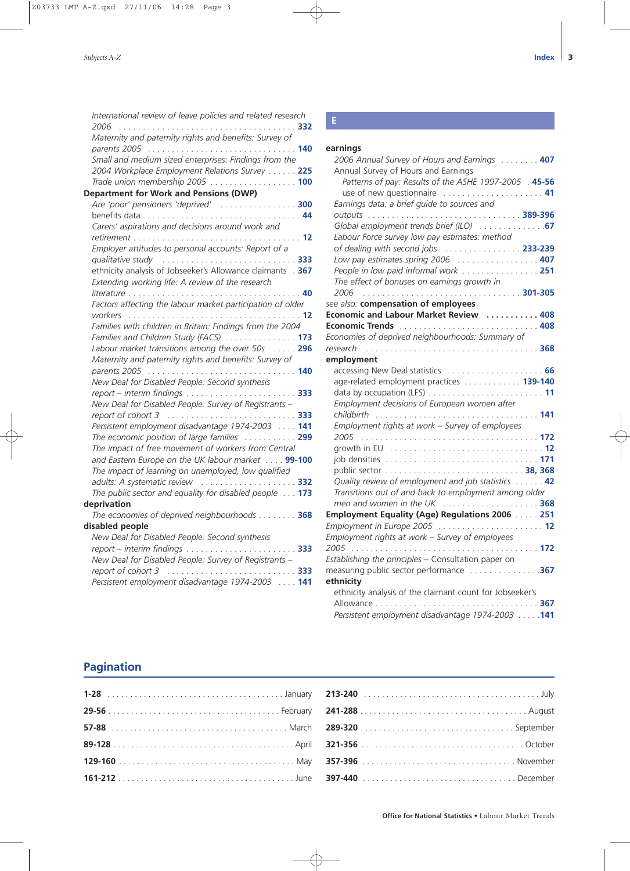| International review of leave policies and related research<br>2006         |
|-----------------------------------------------------------------------------|
| Maternity and paternity rights and benefits: Survey of                      |
|                                                                             |
| .<br>Small and medium sized enterprises: Findings from the                  |
| 2004 Workplace Employment Relations Survey  225                             |
| Trade union membership 2005  100                                            |
| <b>Department for Work and Pensions (DWP)</b>                               |
| Are 'poor' pensioners 'deprived'  300                                       |
|                                                                             |
| Carers' aspirations and decisions around work and                           |
|                                                                             |
| Employer attitudes to personal accounts: Report of a                        |
|                                                                             |
| ethnicity analysis of Jobseeker's Allowance claimants . 367                 |
| Extending working life: A review of the research                            |
| <i>literature</i> 40                                                        |
| Factors affecting the labour market participation of older                  |
|                                                                             |
| Families with children in Britain: Findings from the 2004                   |
| Families and Children Study (FACS)  173                                     |
| Labour market transitions among the over 50s 296                            |
| Maternity and paternity rights and benefits: Survey of                      |
|                                                                             |
| New Deal for Disabled People: Second synthesis                              |
|                                                                             |
| New Deal for Disabled People: Survey of Registrants -                       |
|                                                                             |
| Persistent employment disadvantage 1974-2003  141                           |
| The economic position of large families  299                                |
| The impact of free movement of workers from Central                         |
| and Eastern Europe on the UK labour market 99-100                           |
| The impact of learning on unemployed, low qualified                         |
| adults: A systematic review  332                                            |
| The public sector and equality for disabled people 173                      |
| deprivation                                                                 |
| The economies of deprived neighbourhoods 368                                |
| disabled people                                                             |
| New Deal for Disabled People: Second synthesis                              |
|                                                                             |
| New Deal for Disabled People: Survey of Registrants -<br>report of cohort 3 |
| Persistent employment disadvantage 1974-2003  141                           |
|                                                                             |
|                                                                             |

### **earnings**

| 2006 Annual Survey of Hours and Earnings 407                       |  |
|--------------------------------------------------------------------|--|
| Annual Survey of Hours and Earnings                                |  |
| Patterns of pay: Results of the ASHE 1997-2005 . 45-56             |  |
| use of new questionnaire  41                                       |  |
| Earnings data: a brief guide to sources and                        |  |
|                                                                    |  |
| Global employment trends brief (ILO)  67                           |  |
| Labour Force survey low pay estimates: method                      |  |
| of dealing with second jobs  233-239                               |  |
| Low pay estimates spring 2006 $\ldots \ldots \ldots \ldots \ldots$ |  |
| People in low paid informal work  251                              |  |
| The effect of bonuses on earnings growth in                        |  |
| 2006                                                               |  |
| see also: compensation of employees                                |  |
| Economic and Labour Market Review  408                             |  |
|                                                                    |  |
| Economies of deprived neighbourhoods: Summary of                   |  |
| research                                                           |  |
| employment                                                         |  |
|                                                                    |  |
| age-related employment practices 139-140                           |  |
|                                                                    |  |
| Employment decisions of European women after                       |  |
|                                                                    |  |
| Employment rights at work - Survey of employees                    |  |
| 2005                                                               |  |
|                                                                    |  |
|                                                                    |  |
|                                                                    |  |
| Quality review of employment and job statistics  42                |  |
| Transitions out of and back to employment among older              |  |
| men and women in the UK $\ldots$ 368                               |  |
| Employment Equality (Age) Regulations 2006  251                    |  |
| Employment in Europe 2005  12                                      |  |
| Employment rights at work - Survey of employees                    |  |
| 2005                                                               |  |
| Establishing the principles - Consultation paper on                |  |
|                                                                    |  |
| ethnicity                                                          |  |
| ethnicity analysis of the claimant count for Jobseeker's           |  |
|                                                                    |  |
| Persistent employment disadvantage 1974-2003 141                   |  |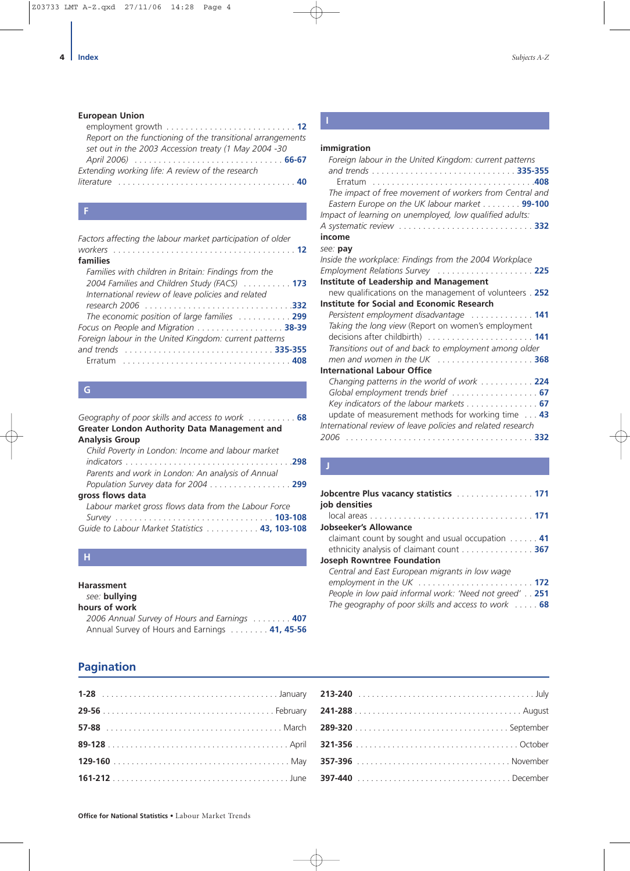#### **European Union**

| Report on the functioning of the transitional arrangements |
|------------------------------------------------------------|
| set out in the 2003 Accession treaty (1 May 2004 -30       |
|                                                            |
| Extending working life: A review of the research           |
|                                                            |
|                                                            |

| Factors affecting the labour market participation of older                                                                                                 |
|------------------------------------------------------------------------------------------------------------------------------------------------------------|
| families                                                                                                                                                   |
| Families with children in Britain: Findings from the<br>2004 Families and Children Study (FACS)  173<br>International review of leave policies and related |
|                                                                                                                                                            |
| The economic position of large families  299                                                                                                               |
| Focus on People and Migration 38-39                                                                                                                        |
| Foreign labour in the United Kingdom: current patterns                                                                                                     |
|                                                                                                                                                            |
|                                                                                                                                                            |

| Geography of poor skills and access to work $\ldots \ldots \ldots$ |
|--------------------------------------------------------------------|
|                                                                    |
|                                                                    |
|                                                                    |
|                                                                    |
|                                                                    |
| Population Survey data for 2004 299                                |
|                                                                    |
|                                                                    |
|                                                                    |
| Guide to Labour Market Statistics 43, 103-108                      |
|                                                                    |

# **H**

#### **Harassment**

*see:* **bullying**

| hours of work                                 |  |
|-----------------------------------------------|--|
| 2006 Annual Survey of Hours and Earnings 407  |  |
| Annual Survey of Hours and Earnings 41, 45-56 |  |

# **I**

#### **immigration**

| Foreign labour in the United Kingdom: current patterns                                                   |
|----------------------------------------------------------------------------------------------------------|
| The impact of free movement of workers from Central and<br>Eastern Europe on the UK labour market 99-100 |
| Impact of learning on unemployed, low qualified adults:                                                  |
| income                                                                                                   |
| see: pav                                                                                                 |
| Inside the workplace: Findings from the 2004 Workplace                                                   |
| Employment Relations Survey  225                                                                         |
| <b>Institute of Leadership and Management</b>                                                            |
| new qualifications on the management of volunteers . 252                                                 |
| <b>Institute for Social and Economic Research</b>                                                        |
| Persistent employment disadvantage  141                                                                  |
| Taking the long view (Report on women's employment                                                       |
|                                                                                                          |
| Transitions out of and back to employment among older                                                    |
| men and women in the UK  368                                                                             |
| <b>International Labour Office</b>                                                                       |
| Changing patterns in the world of work 224                                                               |
|                                                                                                          |
| Key indicators of the labour markets 67                                                                  |
| update of measurement methods for working time 43                                                        |
| International review of leave policies and related research                                              |
|                                                                                                          |

| Jobcentre Plus vacancy statistics <b>Manual Accord 171</b><br>job densities |
|-----------------------------------------------------------------------------|
|                                                                             |
| Jobseeker's Allowance                                                       |
| claimant count by sought and usual occupation $\ldots$ . 41                 |
| ethnicity analysis of claimant count 367                                    |
| <b>Joseph Rowntree Foundation</b>                                           |
| Central and East European migrants in low wage                              |
|                                                                             |
| People in low paid informal work: 'Need not greed' 251                      |
| The geography of poor skills and access to work  68                         |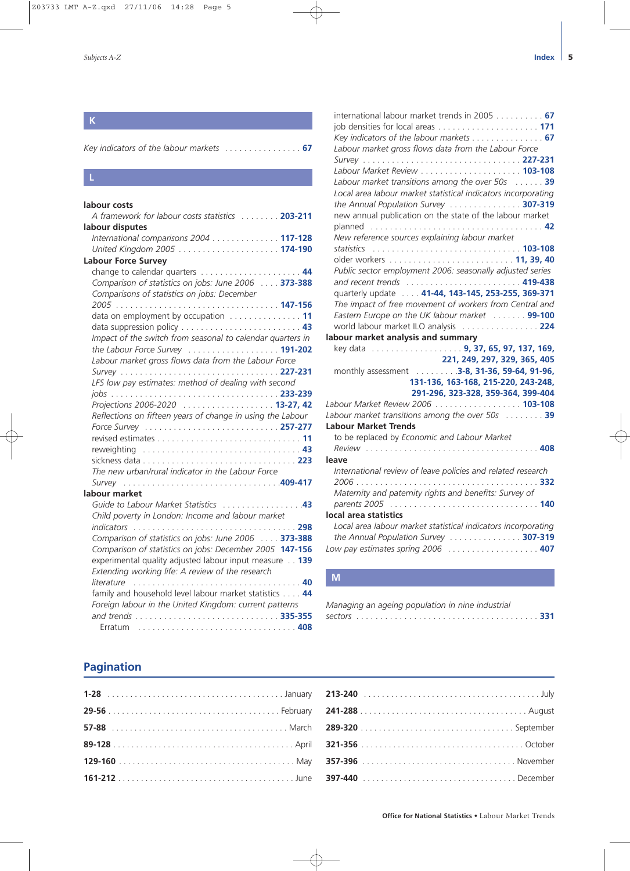# **K**

#### **L**

#### **labour costs**

| A framework for labour costs statistics  203-211           |
|------------------------------------------------------------|
| labour disputes                                            |
| International comparisons 2004 117-128                     |
|                                                            |
| <b>Labour Force Survey</b>                                 |
|                                                            |
| Comparison of statistics on jobs: June 2006 373-388        |
| Comparisons of statistics on jobs: December                |
|                                                            |
|                                                            |
|                                                            |
| Impact of the switch from seasonal to calendar quarters in |
|                                                            |
| Labour market gross flows data from the Labour Force       |
|                                                            |
| LFS low pay estimates: method of dealing with second       |
|                                                            |
| Projections 2006-2020  13-27, 42                           |
| Reflections on fifteen years of change in using the Labour |
|                                                            |
|                                                            |
|                                                            |
|                                                            |
| The new urban/rural indicator in the Labour Force          |
|                                                            |
| labour market                                              |
| Guide to Labour Market Statistics 43                       |
| Child poverty in London: Income and labour market          |
|                                                            |
| Comparison of statistics on jobs: June 2006 373-388        |
| Comparison of statistics on jobs: December 2005 147-156    |
| experimental quality adjusted labour input measure 139     |
| Extending working life: A review of the research           |
| literature                                                 |
| family and household level labour market statistics 44     |
| Foreign labour in the United Kingdom: current patterns     |
|                                                            |
| Erratum                                                    |

| international labour market trends in 2005 67                             |  |
|---------------------------------------------------------------------------|--|
|                                                                           |  |
| Key indicators of the labour markets 67                                   |  |
| Labour market gross flows data from the Labour Force                      |  |
|                                                                           |  |
|                                                                           |  |
| Labour market transitions among the over 50s 39                           |  |
| Local area labour market statistical indicators incorporating             |  |
| the Annual Population Survey  307-319                                     |  |
| new annual publication on the state of the labour market                  |  |
|                                                                           |  |
| New reference sources explaining labour market                            |  |
|                                                                           |  |
|                                                                           |  |
| Public sector employment 2006: seasonally adjusted series                 |  |
|                                                                           |  |
| quarterly update 41-44, 143-145, 253-255, 369-371                         |  |
| The impact of free movement of workers from Central and                   |  |
| Eastern Europe on the UK labour market  99-100                            |  |
| world labour market ILO analysis  224                                     |  |
| labour market analysis and summary                                        |  |
| key data  9, 37, 65, 97, 137, 169,                                        |  |
| 221, 249, 297, 329, 365, 405                                              |  |
| monthly assessment  3-8, 31-36, 59-64, 91-96,                             |  |
| 131-136, 163-168, 215-220, 243-248,                                       |  |
| 291-296, 323-328, 359-364, 399-404                                        |  |
| Labour Market Review 2006 103-108                                         |  |
| Labour market transitions among the over 50s 39                           |  |
| <b>Labour Market Trends</b>                                               |  |
| to be replaced by Economic and Labour Market                              |  |
| leave                                                                     |  |
| International review of leave policies and related research               |  |
|                                                                           |  |
| Maternity and paternity rights and benefits: Survey of                    |  |
|                                                                           |  |
| local area statistics                                                     |  |
| Local area labour market statistical indicators incorporating             |  |
| the Annual Population Survey  307-319                                     |  |
| Low pay estimates spring 2006 $\ldots \ldots \ldots \ldots \ldots \ldots$ |  |
|                                                                           |  |

# **M**

| Managing an ageing population in nine industrial |  |
|--------------------------------------------------|--|
|                                                  |  |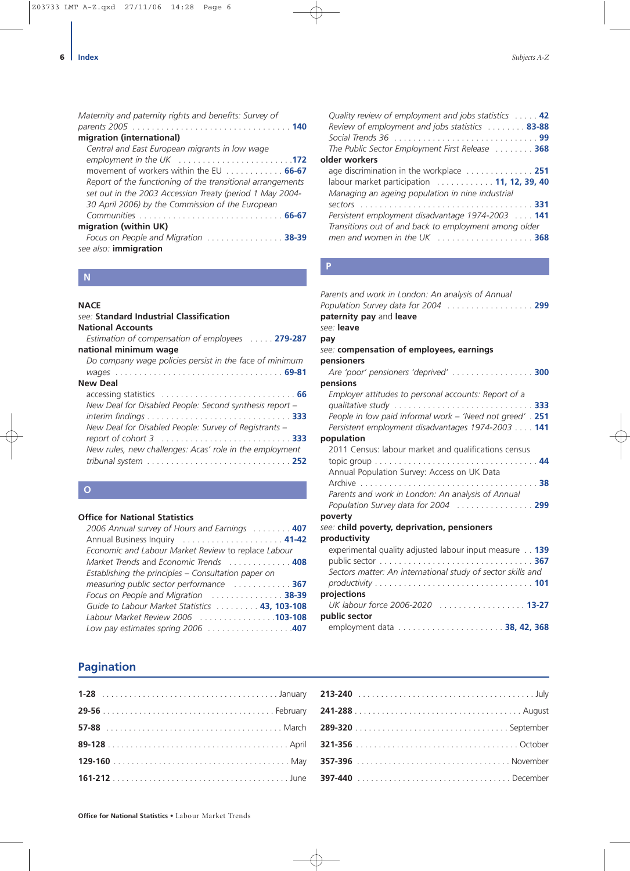| Maternity and paternity rights and benefits: Survey of     |
|------------------------------------------------------------|
|                                                            |
| migration (international)                                  |
| Central and East European migrants in low wage             |
| employment in the UK 172                                   |
| movement of workers within the EU  66-67                   |
| Report of the functioning of the transitional arrangements |
| set out in the 2003 Accession Treaty (period 1 May 2004-   |
| 30 April 2006) by the Commission of the European           |
|                                                            |
| migration (within UK)                                      |
| Focus on People and Migration  38-39                       |
| see also: immigration                                      |
|                                                            |

# **N**

## **NACE**

| see: Standard Industrial Classification                 |
|---------------------------------------------------------|
| <b>National Accounts</b>                                |
| <b>Estimation of compensation of employees</b> 279-287  |
| national minimum wage                                   |
| Do company wage policies persist in the face of minimum |
|                                                         |
| <b>New Deal</b>                                         |
|                                                         |
| New Deal for Disabled People: Second synthesis report - |
|                                                         |
| New Deal for Disabled People: Survey of Registrants –   |
|                                                         |
| New rules, new challenges: Acas' role in the employment |
|                                                         |
|                                                         |

# **O**

#### **Office for National Statistics**

| 2006 Annual survey of Hours and Earnings  407       |
|-----------------------------------------------------|
| Annual Business Inquiry  41-42                      |
| Economic and Labour Market Review to replace Labour |
| Market Trends and Economic Trends  408              |
| Establishing the principles - Consultation paper on |
| measuring public sector performance  367            |
| Focus on People and Migration  38-39                |
| Guide to Labour Market Statistics 43, 103-108       |
| Labour Market Review 2006 103-108                   |
|                                                     |

| Quality review of employment and jobs statistics  42<br>Review of employment and jobs statistics  83-88         |  |
|-----------------------------------------------------------------------------------------------------------------|--|
| The Public Sector Employment First Release 368                                                                  |  |
| older workers                                                                                                   |  |
| age discrimination in the workplace  251                                                                        |  |
| labour market participation  11, 12, 39, 40<br>Managing an ageing population in nine industrial                 |  |
|                                                                                                                 |  |
| Persistent employment disadvantage 1974-2003  141                                                               |  |
| Transitions out of and back to employment among older<br>men and women in the UK $\ldots$ , $\ldots$ , $\ldots$ |  |

# **P**

| Parents and work in London: An analysis of Annual                                               |
|-------------------------------------------------------------------------------------------------|
| Population Survey data for 2004 299                                                             |
| paternity pay and leave                                                                         |
| see: leave                                                                                      |
| pay                                                                                             |
| see: compensation of employees, earnings                                                        |
| pensioners                                                                                      |
| Are 'poor' pensioners 'deprived'  300                                                           |
| pensions                                                                                        |
| Employer attitudes to personal accounts: Report of a                                            |
|                                                                                                 |
| People in low paid informal work - 'Need not greed' . 251                                       |
| Persistent employment disadvantages 1974-2003  141                                              |
| population                                                                                      |
| 2011 Census: labour market and qualifications census                                            |
|                                                                                                 |
| Annual Population Survey: Access on UK Data                                                     |
|                                                                                                 |
| Parents and work in London: An analysis of Annual                                               |
| Population Survey data for 2004  299                                                            |
| poverty                                                                                         |
| see: child poverty, deprivation, pensioners                                                     |
| productivity                                                                                    |
| experimental quality adjusted labour input measure 139                                          |
|                                                                                                 |
| Sectors matter: An international study of sector skills and                                     |
| $productivity \ldots \ldots \ldots \ldots \ldots \ldots \ldots \ldots \ldots \ldots \ldots 101$ |
| projections                                                                                     |
| UK labour force 2006-2020  13-27                                                                |
| public sector                                                                                   |
|                                                                                                 |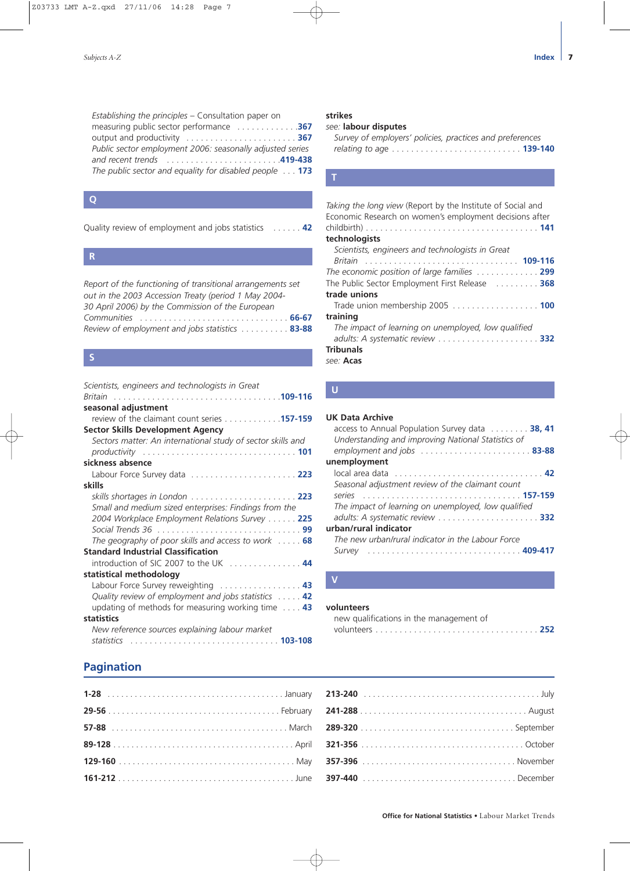| Establishing the principles - Consultation paper on       |
|-----------------------------------------------------------|
| measuring public sector performance 367                   |
|                                                           |
| Public sector employment 2006: seasonally adjusted series |
|                                                           |
| The public sector and equality for disabled people 173    |

#### **Q**

Quality review of employment and jobs statistics . . . . . . **42**

#### **R**

*Report of the functioning of transitional arrangements set out in the 2003 Accession Treaty (period 1 May 2004- 30 April 2006) by the Commission of the European Communities* . . . . . . . . . . . . . . . . . . . . . . . . . . . . . . . **66-67** *Review of employment and jobs statistics* . . . . . . . . . . **83-88**

#### **S**

| Scientists, engineers and technologists in Great              |  |
|---------------------------------------------------------------|--|
| <i><b>Britain</b></i>                                         |  |
| seasonal adjustment                                           |  |
| review of the claimant count series 157-159                   |  |
| Sector Skills Development Agency                              |  |
| Sectors matter: An international study of sector skills and   |  |
|                                                               |  |
| sickness absence                                              |  |
| Labour Force Survey data  223                                 |  |
| skills                                                        |  |
|                                                               |  |
| Small and medium sized enterprises: Findings from the         |  |
| 2004 Workplace Employment Relations Survey 225                |  |
|                                                               |  |
| The geography of poor skills and access to work $\ldots$ . 68 |  |
| <b>Standard Industrial Classification</b>                     |  |
| introduction of SIC 2007 to the UK  44                        |  |
| statistical methodology                                       |  |
|                                                               |  |
| Quality review of employment and jobs statistics  42          |  |
| updating of methods for measuring working time $\ldots$ 43    |  |
| statistics                                                    |  |
| New reference sources explaining labour market                |  |
| statistics                                                    |  |
|                                                               |  |

## **strikes**

#### *see:* **labour disputes**

| Survey of employers' policies, practices and preferences |  |            |
|----------------------------------------------------------|--|------------|
|                                                          |  | $.139-140$ |

#### **T**

#### *Taking the long view* (Report by the Institute of Social and Economic Research on women's employment decisions after childbirth) . . . . . . . . . . . . . . . . . . . . . . . . . . . . . . . . . . . . **141 technologists** *Scientists, engineers and technologists in Great Britain* . . . . . . . . . . . . . . . . . . . . . . . . . . . . . . . . **109-116** *The economic position of large families* . . . . . . . . . . . . . **299** The Public Sector Employment First Release . . . . . . . . . **368 trade unions** Trade union membership 2005 . . . . . . . . . . . . . . . . . . **100 training** *The impact of learning on unemployed, low qualified adults: A systematic review* . . . . . . . . . . . . . . . . . . . . . **332 Tribunals** *see:* **Acas**

#### **U**

#### **UK Data Archive**

| access to Annual Population Survey data 38, 41      |  |
|-----------------------------------------------------|--|
| Understanding and improving National Statistics of  |  |
| employment and jobs  83-88                          |  |
| unemployment                                        |  |
|                                                     |  |
| Seasonal adjustment review of the claimant count    |  |
| series                                              |  |
| The impact of learning on unemployed, low qualified |  |
|                                                     |  |
| urban/rural indicator                               |  |
| The new urban/rural indicator in the Labour Force   |  |
| Survey                                              |  |
|                                                     |  |

#### **V**

#### **volunteers**

| new qualifications in the management of |  |
|-----------------------------------------|--|
|                                         |  |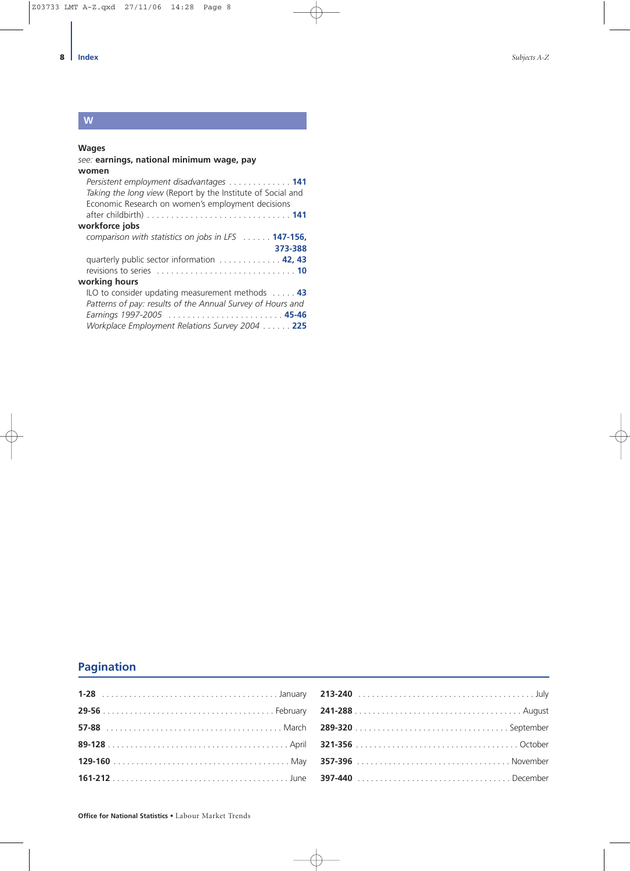# **W**

### **Wages**

| see: earnings, national minimum wage, pay                   |
|-------------------------------------------------------------|
| women                                                       |
| Persistent employment disadvantages 141                     |
| Taking the long view (Report by the Institute of Social and |
| Economic Research on women's employment decisions           |
|                                                             |
| workforce jobs                                              |
| comparison with statistics on jobs in LFS 147-156,          |
| 373-388                                                     |
| quarterly public sector information 42, 43                  |
|                                                             |
| working hours                                               |
| ILO to consider updating measurement methods  43            |
| Patterns of pay: results of the Annual Survey of Hours and  |
| Earnings 1997-2005  45-46                                   |
| Workplace Employment Relations Survey 2004  225             |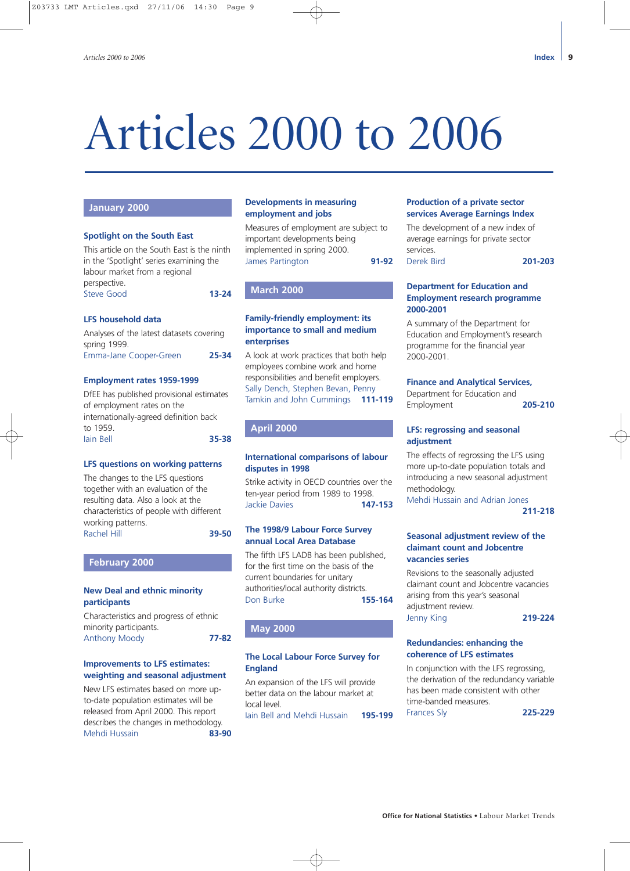# <span id="page-8-0"></span>Articles 2000 to 2006

## **January 2000**

#### **Spotlight on the South East**

This article on the South East is the ninth in the 'Spotlight' series examining the labour market from a regional perspective.

Steve Good **13-24**

#### **LFS household data**

Analyses of the latest datasets covering spring 1999. Emma-Jane Cooper-Green **25-34**

# **Employment rates 1959-1999**

DfEE has published provisional estimates of employment rates on the internationally-agreed definition back to 1959. Iain Bell **35-38**

#### **LFS questions on working patterns**

The changes to the LFS questions together with an evaluation of the resulting data. Also a look at the characteristics of people with different working patterns. Rachel Hill **39-50**

**February 2000**

#### **New Deal and ethnic minority participants**

Characteristics and progress of ethnic minority participants. Anthony Moody **77-82**

#### **Improvements to LFS estimates: weighting and seasonal adjustment**

New LFS estimates based on more upto-date population estimates will be released from April 2000. This report describes the changes in methodology. Mehdi Hussain **83-90**

#### **Developments in measuring employment and jobs**

Measures of employment are subject to important developments being implemented in spring 2000. James Partington **91-92**

#### **March 2000**

#### **Family-friendly employment: its importance to small and medium enterprises**

A look at work practices that both help employees combine work and home responsibilities and benefit employers. Sally Dench, Stephen Bevan, Penny Tamkin and John Cummings **111-119**

#### **April 2000**

#### **International comparisons of labour disputes in 1998**

Strike activity in OECD countries over the ten-year period from 1989 to 1998. Jackie Davies **147-153**

#### **The 1998/9 Labour Force Survey annual Local Area Database**

The fifth LFS LADB has been published, for the first time on the basis of the current boundaries for unitary authorities/local authority districts. Don Burke **155-164**

#### **May 2000**

#### **The Local Labour Force Survey for England**

An expansion of the LFS will provide better data on the labour market at local level. Iain Bell and Mehdi Hussain **195-199**

#### **Production of a private sector services Average Earnings Index**

The development of a new index of average earnings for private sector services. Derek Bird **201-203**

#### **Department for Education and Employment research programme 2000-2001**

A summary of the Department for Education and Employment's research programme for the financial year 2000-2001.

#### **Finance and Analytical Services,**

Department for Education and Employment **205-210**

#### **LFS: regrossing and seasonal adjustment**

The effects of regrossing the LFS using more up-to-date population totals and introducing a new seasonal adjustment methodology.

Mehdi Hussain and Adrian Jones **211-218**

#### **Seasonal adjustment review of the claimant count and Jobcentre vacancies series**

Revisions to the seasonally adjusted claimant count and Jobcentre vacancies arising from this year's seasonal adjustment review. Jenny King **219-224**

#### **Redundancies: enhancing the coherence of LFS estimates**

In conjunction with the LFS regrossing, the derivation of the redundancy variable has been made consistent with other time-banded measures. Frances Sly **225-229**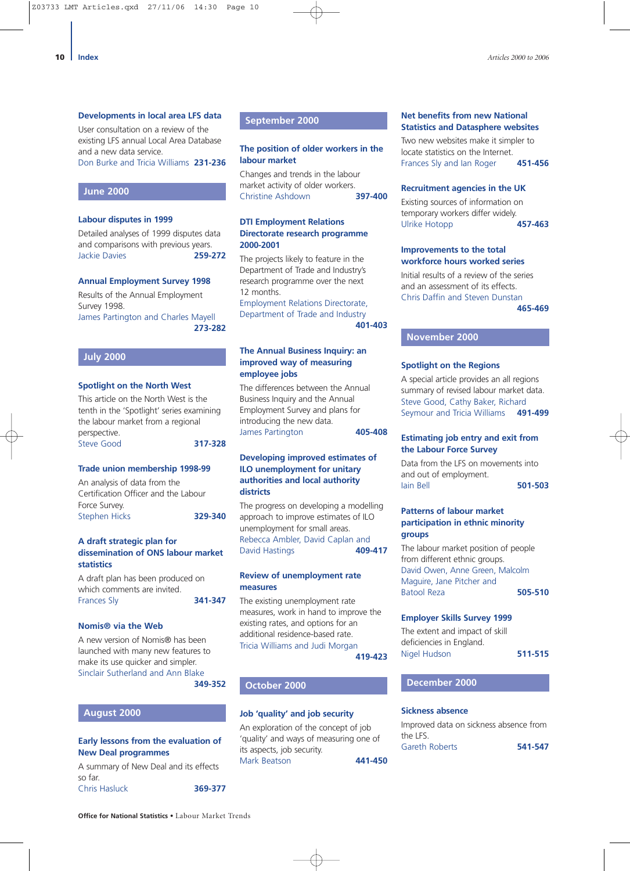#### **Developments in local area LFS data**

User consultation on a review of the existing LFS annual Local Area Database and a new data service. Don Burke and Tricia Williams **231-236**

#### **June 2000**

#### **Labour disputes in 1999**

Detailed analyses of 1999 disputes data and comparisons with previous years. Jackie Davies **259-272**

#### **Annual Employment Survey 1998**

Results of the Annual Employment Survey 1998. James Partington and Charles Mayell **273-282**

#### **July 2000**

#### **Spotlight on the North West**

This article on the North West is the tenth in the 'Spotlight' series examining the labour market from a regional perspective. Steve Good **317-328**

## **Trade union membership 1998-99**

An analysis of data from the Certification Officer and the Labour Force Survey. Stephen Hicks **329-340**

#### **A draft strategic plan for dissemination of ONS labour market statistics**

A draft plan has been produced on which comments are invited. Frances Sly **341-347**

#### **Nomis® via the Web**

A new version of Nomis® has been launched with many new features to make its use quicker and simpler. Sinclair Sutherland and Ann Blake **349-352**

#### **August 2000**

#### **Early lessons from the evaluation of New Deal programmes**

A summary of New Deal and its effects so far. Chris Hasluck **369-377**

#### **September 2000**

#### **The position of older workers in the labour market**

Changes and trends in the labour market activity of older workers.<br>Christine Ashdown **397-400 Christine Ashdown** 

#### **DTI Employment Relations Directorate research programme 2000-2001**

The projects likely to feature in the Department of Trade and Industry's research programme over the next 12 months.

Employment Relations Directorate, Department of Trade and Industry **401-403**

#### **The Annual Business Inquiry: an improved way of measuring employee jobs**

The differences between the Annual Business Inquiry and the Annual Employment Survey and plans for introducing the new data. James Partington **405-408**

#### **Developing improved estimates of ILO unemployment for unitary authorities and local authority districts**

The progress on developing a modelling approach to improve estimates of ILO unemployment for small areas. Rebecca Ambler, David Caplan and David Hastings **409-417**

#### **Review of unemployment rate measures**

The existing unemployment rate measures, work in hand to improve the existing rates, and options for an additional residence-based rate. Tricia Williams and Judi Morgan

**419-423**

#### **October 2000**

#### **Job 'quality' and job security**

An exploration of the concept of job 'quality' and ways of measuring one of its aspects, job security. Mark Beatson **441-450**

#### **Net benefits from new National Statistics and Datasphere websites**

Two new websites make it simpler to locate statistics on the Internet. Frances Sly and Ian Roger **451-456**

#### **Recruitment agencies in the UK**

Existing sources of information on temporary workers differ widely. Ulrike Hotopp **457-463**

#### **Improvements to the total workforce hours worked series**

Initial results of a review of the series and an assessment of its effects. Chris Daffin and Steven Dunstan

**465-469**

#### **November 2000**

#### **Spotlight on the Regions**

A special article provides an all regions summary of revised labour market data. Steve Good, Cathy Baker, Richard Seymour and Tricia Williams **491-499**

#### **Estimating job entry and exit from the Labour Force Survey**

Data from the LFS on movements into and out of employment. Iain Bell **501-503**

#### **Patterns of labour market participation in ethnic minority groups**

The labour market position of people from different ethnic groups. David Owen, Anne Green, Malcolm Maguire, Jane Pitcher and Batool Reza **505-510**

#### **Employer Skills Survey 1999**

The extent and impact of skill deficiencies in England. Nigel Hudson **511-515**

### **December 2000**

#### **Sickness absence**

Improved data on sickness absence from the LFS. Gareth Roberts **541-547**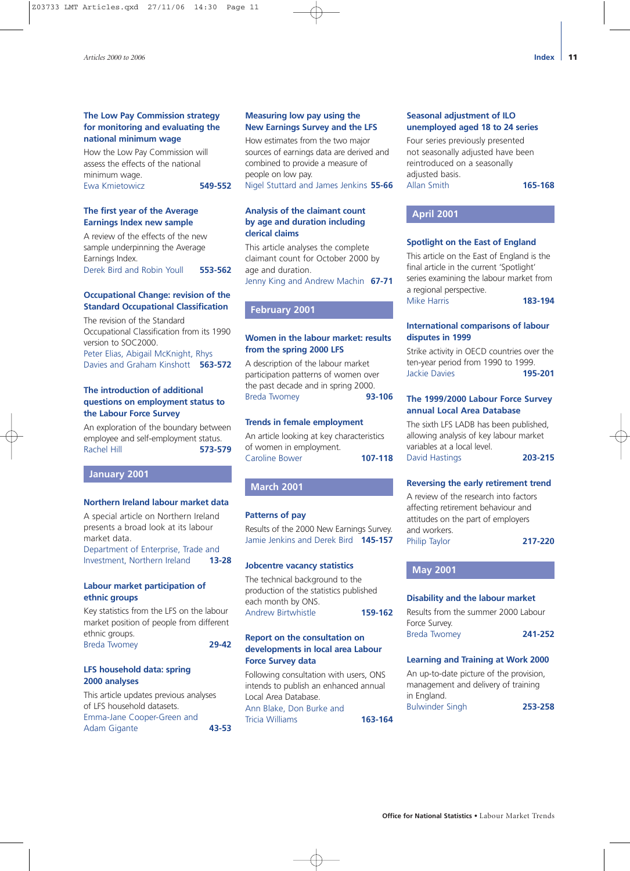#### **The Low Pay Commission strategy for monitoring and evaluating the national minimum wage**

How the Low Pay Commission will assess the effects of the national minimum wage. Ewa Kmietowicz **549-552**

#### **The first year of the Average Earnings Index new sample**

A review of the effects of the new sample underpinning the Average Earnings Index. Derek Bird and Robin Youll **553-562**

#### **Occupational Change: revision of the Standard Occupational Classification**

The revision of the Standard Occupational Classification from its 1990 version to SOC2000. Peter Elias, Abigail McKnight, Rhys Davies and Graham Kinshott **563-572**

#### **The introduction of additional questions on employment status to the Labour Force Survey**

An exploration of the boundary between employee and self-employment status. Rachel Hill **573-579**

#### **January 2001**

#### **Northern Ireland labour market data**

A special article on Northern Ireland presents a broad look at its labour market data.

Department of Enterprise, Trade and Investment, Northern Ireland **13-28**

#### **Labour market participation of ethnic groups**

Key statistics from the LFS on the labour market position of people from different ethnic groups. Breda Twomey **29-42**

#### **LFS household data: spring 2000 analyses**

This article updates previous analyses of LFS household datasets. Emma-Jane Cooper-Green and Adam Gigante **43-53**

#### **Measuring low pay using the New Earnings Survey and the LFS**

How estimates from the two major sources of earnings data are derived and combined to provide a measure of people on low pay.

Nigel Stuttard and James Jenkins **55-66**

#### **Analysis of the claimant count by age and duration including clerical claims**

This article analyses the complete claimant count for October 2000 by age and duration.

Jenny King and Andrew Machin **67-71**

#### **February 2001**

#### **Women in the labour market: results from the spring 2000 LFS**

A description of the labour market participation patterns of women over the past decade and in spring 2000. Breda Twomey **93-106**

#### **Trends in female employment**

An article looking at key characteristics of women in employment. Caroline Bower **107-118**

#### **March 2001**

#### **Patterns of pay**

Results of the 2000 New Earnings Survey. Jamie Jenkins and Derek Bird **145-157**

#### **Jobcentre vacancy statistics**

The technical background to the production of the statistics published each month by ONS. Andrew Birtwhistle **159-162**

#### **Report on the consultation on developments in local area Labour Force Survey data**

Following consultation with users, ONS intends to publish an enhanced annual Local Area Database. Ann Blake, Don Burke and Tricia Williams **163-164**

#### **Seasonal adjustment of ILO unemployed aged 18 to 24 series**

Four series previously presented not seasonally adjusted have been reintroduced on a seasonally adjusted basis. Allan Smith **165-168**

## **April 2001**

#### **Spotlight on the East of England**

This article on the East of England is the final article in the current 'Spotlight' series examining the labour market from a regional perspective. Mike Harris **183-194**

#### **International comparisons of labour disputes in 1999**

Strike activity in OECD countries over the ten-year period from 1990 to 1999. Jackie Davies **195-201**

#### **The 1999/2000 Labour Force Survey annual Local Area Database**

The sixth LFS LADB has been published, allowing analysis of key labour market variables at a local level. David Hastings **203-215**

#### **Reversing the early retirement trend**

A review of the research into factors affecting retirement behaviour and attitudes on the part of employers and workers. Philip Taylor **217-220**

#### **May 2001**

#### **Disability and the labour market**

| Results from the summer 2000 Labour |         |
|-------------------------------------|---------|
| Force Survey.                       |         |
| <b>Breda Twomey</b>                 | 241-252 |

#### **Learning and Training at Work 2000**

An up-to-date picture of the provision, management and delivery of training in England. Bulwinder Singh **253-258**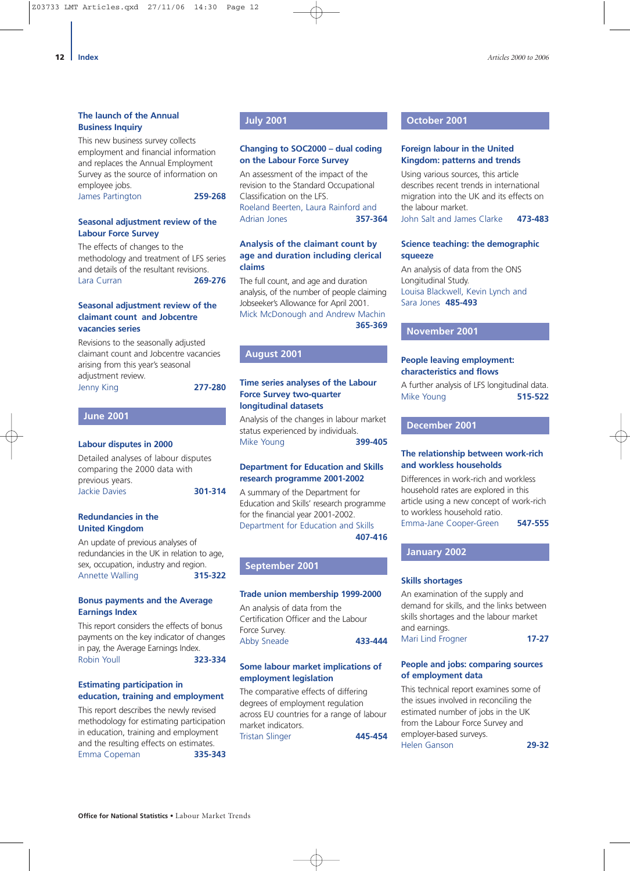This new business survey collects employment and financial information and replaces the Annual Employment Survey as the source of information on employee jobs.

James Partington **259-268**

#### **Seasonal adjustment review of the Labour Force Survey**

The effects of changes to the methodology and treatment of LFS series and details of the resultant revisions. Lara Curran **269-276**

#### **Seasonal adjustment review of the claimant count and Jobcentre vacancies series**

Revisions to the seasonally adjusted claimant count and Jobcentre vacancies arising from this year's seasonal adjustment review. Jenny King **277-280**

## **Labour disputes in 2000**

**June 2001**

Detailed analyses of labour disputes comparing the 2000 data with previous years. Jackie Davies **301-314**

#### **Redundancies in the United Kingdom**

An update of previous analyses of redundancies in the UK in relation to age, sex, occupation, industry and region. Annette Walling **315-322**

#### **Bonus payments and the Average Earnings Index**

This report considers the effects of bonus payments on the key indicator of changes in pay, the Average Earnings Index. Robin Youll **323-334**

#### **Estimating participation in education, training and employment**

This report describes the newly revised methodology for estimating participation in education, training and employment and the resulting effects on estimates. Emma Copeman **335-343**

#### **July 2001**

#### **Changing to SOC2000 – dual coding on the Labour Force Survey**

An assessment of the impact of the revision to the Standard Occupational Classification on the LFS. Roeland Beerten, Laura Rainford and Adrian Jones **357-364**

#### **Analysis of the claimant count by age and duration including clerical claims**

The full count, and age and duration analysis, of the number of people claiming Jobseeker's Allowance for April 2001. Mick McDonough and Andrew Machin **365-369**

#### **August 2001**

#### **Time series analyses of the Labour Force Survey two-quarter longitudinal datasets**

Analysis of the changes in labour market status experienced by individuals. Mike Young **399-405**

#### **Department for Education and Skills research programme 2001-2002**

A summary of the Department for Education and Skills' research programme for the financial year 2001-2002. Department for Education and Skills **407-416**

**September 2001**

#### **Trade union membership 1999-2000**

An analysis of data from the Certification Officer and the Labour Force Survey. Abby Sneade **433-444**

#### **Some labour market implications of employment legislation**

The comparative effects of differing degrees of employment regulation across EU countries for a range of labour market indicators. Tristan Slinger **445-454**

#### **October 2001**

#### **Foreign labour in the United Kingdom: patterns and trends**

Using various sources, this article describes recent trends in international migration into the UK and its effects on the labour market. John Salt and James Clarke **473-483**

#### **Science teaching: the demographic squeeze**

An analysis of data from the ONS Longitudinal Study. Louisa Blackwell, Kevin Lynch and Sara Jones **485-493** 

#### **November 2001**

#### **People leaving employment: characteristics and flows**

A further analysis of LFS longitudinal data. Mike Young **515-522**

#### **December 2001**

#### **The relationship between work-rich and workless households**

Differences in work-rich and workless household rates are explored in this article using a new concept of work-rich to workless household ratio. Emma-Jane Cooper-Green **547-555**

#### **January 2002**

#### **Skills shortages**

An examination of the supply and demand for skills, and the links between skills shortages and the labour market and earnings. Mari Lind Frogner **17-27**

#### **People and jobs: comparing sources of employment data**

This technical report examines some of the issues involved in reconciling the estimated number of jobs in the UK from the Labour Force Survey and employer-based surveys. Helen Ganson **29-32**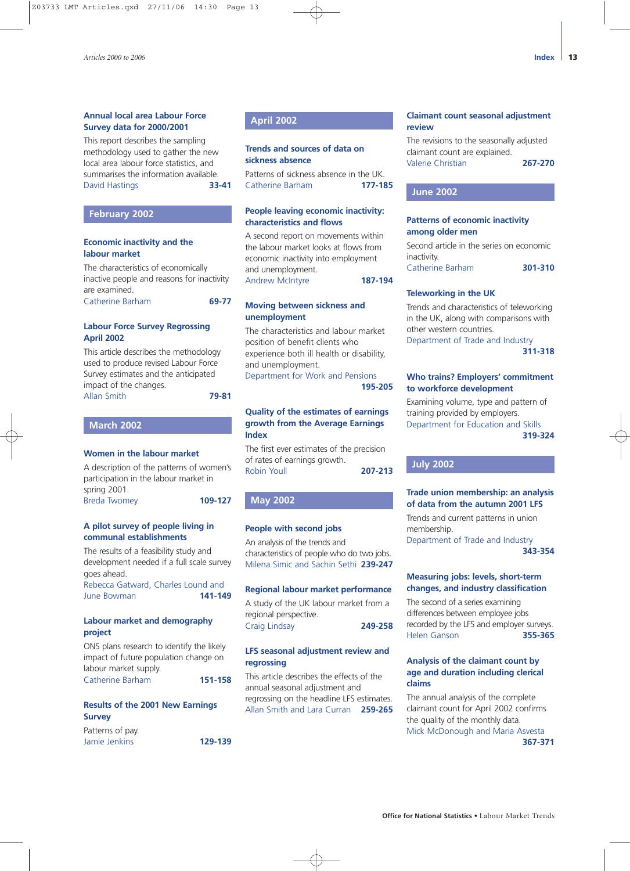#### **Annual local area Labour Force Survey data for 2000/2001**

This report describes the sampling methodology used to gather the new local area labour force statistics, and summarises the information available. David Hastings **33-41**

#### **February 2002**

#### **Economic inactivity and the labour market**

The characteristics of economically inactive people and reasons for inactivity are examined. Catherine Barham **69-77**

**Labour Force Survey Regrossing**

# **April 2002**

This article describes the methodology used to produce revised Labour Force Survey estimates and the anticipated impact of the changes. Allan Smith **79-81**

**March 2002**

#### **Women in the labour market**

A description of the patterns of women's participation in the labour market in spring 2001. Breda Twomey **109-127**

#### **A pilot survey of people living in communal establishments**

The results of a feasibility study and development needed if a full scale survey goes ahead.

Rebecca Gatward, Charles Lound and June Bowman **141-149**

#### **Labour market and demography project**

ONS plans research to identify the likely impact of future population change on labour market supply. Catherine Barham **151-158**

#### **Results of the 2001 New Earnings Survey**

Patterns of pay. Jamie Jenkins **129-139** **April 2002**

#### **Trends and sources of data on sickness absence**

Patterns of sickness absence in the UK. Catherine Barham **177-185**

#### **People leaving economic inactivity: characteristics and flows**

A second report on movements within the labour market looks at flows from economic inactivity into employment and unemployment. Andrew McIntyre **187-194**

#### **Moving between sickness and unemployment**

The characteristics and labour market position of benefit clients who experience both ill health or disability, and unemployment. Department for Work and Pensions

**195-205**

#### **Quality of the estimates of earnings growth from the Average Earnings Index**

The first ever estimates of the precision of rates of earnings growth. Robin Youll **207-213**

#### **May 2002**

#### **People with second jobs**

An analysis of the trends and characteristics of people who do two jobs. Milena Simic and Sachin Sethi **239-247**

#### **Regional labour market performance**

A study of the UK labour market from a regional perspective. Craig Lindsay **249-258**

#### **LFS seasonal adjustment review and regrossing**

This article describes the effects of the annual seasonal adjustment and regrossing on the headline LFS estimates. Allan Smith and Lara Curran **259-265**

#### **Claimant count seasonal adjustment review**

The revisions to the seasonally adjusted claimant count are explained. Valerie Christian **267-270**

#### **June 2002**

#### **Patterns of economic inactivity among older men**

Second article in the series on economic inactivity. Catherine Barham **301-310**

## **Teleworking in the UK**

Trends and characteristics of teleworking in the UK, along with comparisons with other western countries. Department of Trade and Industry

**311-318**

#### **Who trains? Employers' commitment to workforce development**

Examining volume, type and pattern of training provided by employers. Department for Education and Skills **319-324**

#### **July 2002**

#### **Trade union membership: an analysis of data from the autumn 2001 LFS**

Trends and current patterns in union membership.

Department of Trade and Industry **343-354**

#### **Measuring jobs: levels, short-term changes, and industry classification**

The second of a series examining differences between employee jobs recorded by the LFS and employer surveys. Helen Ganson **355-365**

#### **Analysis of the claimant count by age and duration including clerical claims**

The annual analysis of the complete claimant count for April 2002 confirms the quality of the monthly data. Mick McDonough and Maria Asvesta **367-371**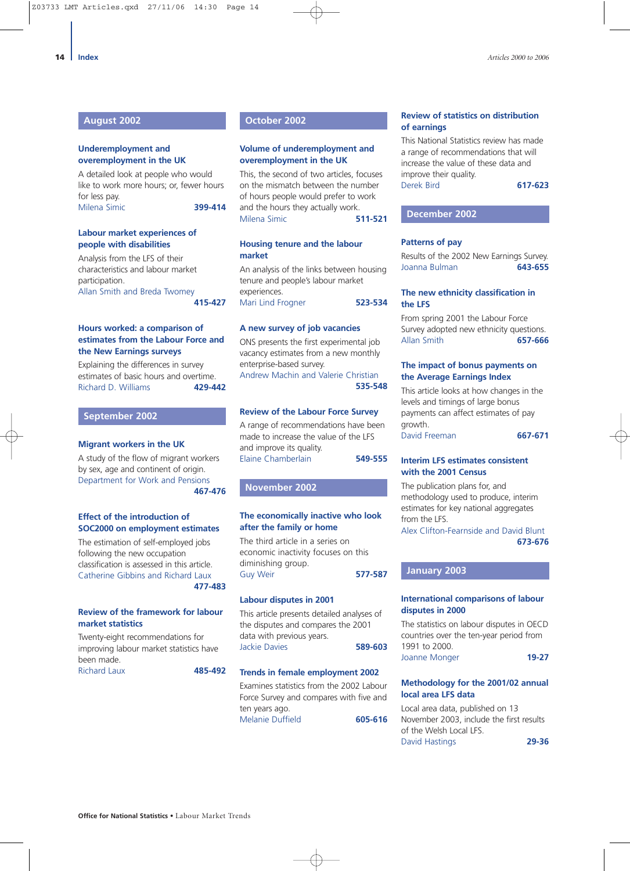#### **August 2002**

#### **Underemployment and overemployment in the UK**

A detailed look at people who would like to work more hours; or, fewer hours for less pay. Milena Simic **399-414**

#### **Labour market experiences of people with disabilities**

Analysis from the LFS of their characteristics and labour market participation. Allan Smith and Breda Twomey **415-427**

#### **Hours worked: a comparison of estimates from the Labour Force and the New Earnings surveys**

Explaining the differences in survey estimates of basic hours and overtime. Richard D. Williams **429-442**

#### **September 2002**

#### **Migrant workers in the UK**

A study of the flow of migrant workers by sex, age and continent of origin. Department for Work and Pensions

**467-476**

#### **Effect of the introduction of SOC2000 on employment estimates**

The estimation of self-employed jobs following the new occupation classification is assessed in this article. Catherine Gibbins and Richard Laux **477-483**

#### **Review of the framework for labour market statistics**

Twenty-eight recommendations for improving labour market statistics have been made. Richard Laux **485-492**

#### **October 2002**

#### **Volume of underemployment and overemployment in the UK**

This, the second of two articles, focuses on the mismatch between the number of hours people would prefer to work and the hours they actually work. Milena Simic **511-521**

#### **Housing tenure and the labour market**

An analysis of the links between housing tenure and people's labour market experiences. Mari Lind Frogner **523-534**

#### **A new survey of job vacancies**

ONS presents the first experimental job vacancy estimates from a new monthly enterprise-based survey. Andrew Machin and Valerie Christian **535-548**

#### **Review of the Labour Force Survey**

A range of recommendations have been made to increase the value of the LFS and improve its quality. Elaine Chamberlain **549-555**

#### **November 2002**

#### **The economically inactive who look after the family or home**

The third article in a series on economic inactivity focuses on this diminishing group. Guy Weir **577-587**

#### **Labour disputes in 2001**

This article presents detailed analyses of the disputes and compares the 2001 data with previous years. Jackie Davies **589-603**

#### **Trends in female employment 2002**

Examines statistics from the 2002 Labour Force Survey and compares with five and ten years ago. Melanie Duffield **605-616**

#### **Review of statistics on distribution of earnings**

This National Statistics review has made a range of recommendations that will increase the value of these data and improve their quality. Derek Bird **617-623**

#### **December 2002**

#### **Patterns of pay**

Results of the 2002 New Earnings Survey. Joanna Bulman **643-655**

#### **The new ethnicity classification in the LFS**

From spring 2001 the Labour Force Survey adopted new ethnicity questions. Allan Smith **657-666**

#### **The impact of bonus payments on the Average Earnings Index**

This article looks at how changes in the levels and timings of large bonus payments can affect estimates of pay growth. David Freeman **667-671**

#### **Interim LFS estimates consistent with the 2001 Census**

The publication plans for, and methodology used to produce, interim estimates for key national aggregates from the LFS.

Alex Clifton-Fearnside and David Blunt **673-676**

#### **January 2003**

#### **International comparisons of labour disputes in 2000**

The statistics on labour disputes in OECD countries over the ten-year period from 1991 to 2000. Joanne Monger **19-27**

#### **Methodology for the 2001/02 annual local area LFS data**

Local area data, published on 13 November 2003, include the first results of the Welsh Local LFS. David Hastings **29-36**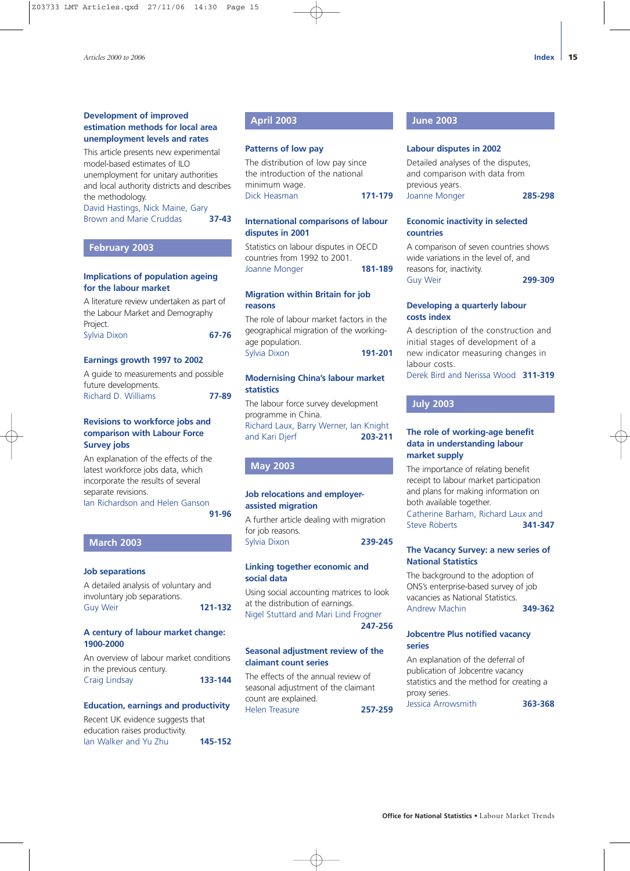#### **Development of improved estimation methods for local area unemployment levels and rates**

This article presents new experimental model-based estimates of ILO unemployment for unitary authorities and local authority districts and describes the methodology.

David Hastings, Nick Maine, Gary Brown and Marie Cruddas **37-43**

#### **February 2003**

#### **Implications of population ageing for the labour market**

A literature review undertaken as part of the Labour Market and Demography Project. Sylvia Dixon **67-76**

#### **Earnings growth 1997 to 2002**

A guide to measurements and possible future developments. Richard D. Williams **77-89**

#### **Revisions to workforce jobs and comparison with Labour Force Survey jobs**

An explanation of the effects of the latest workforce jobs data, which incorporate the results of several separate revisions.

Ian Richardson and Helen Ganson **91-96**

#### **March 2003**

#### **Job separations**

A detailed analysis of voluntary and involuntary job separations. Guy Weir **121-132**

#### **A century of labour market change: 1900-2000**

An overview of labour market conditions in the previous century. Craig Lindsay **133-144**

#### **Education, earnings and productivity**

Recent UK evidence suggests that education raises productivity. Ian Walker and Yu Zhu **145-152**

#### **April 2003**

#### **Patterns of low pay**

The distribution of low pay since the introduction of the national minimum wage. Dick Heasman **171-179**

#### **International comparisons of labour disputes in 2001**

Statistics on labour disputes in OECD countries from 1992 to 2001. Joanne Monger **181-189**

#### **Migration within Britain for job reasons**

The role of labour market factors in the geographical migration of the workingage population. Sylvia Dixon **191-201**

#### **Modernising China's labour market statistics**

The labour force survey development programme in China. Richard Laux, Barry Werner, Ian Knight and Kari Djerf **203-211**

#### **May 2003**

#### **Job relocations and employerassisted migration**

A further article dealing with migration for job reasons. Sylvia Dixon **239-245**

#### **Linking together economic and social data**

Using social accounting matrices to look at the distribution of earnings. Nigel Stuttard and Mari Lind Frogner **247-256**

#### **Seasonal adjustment review of the claimant count series**

The effects of the annual review of seasonal adjustment of the claimant count are explained. Helen Treasure **257-259**

#### **June 2003**

#### **Labour disputes in 2002**

Detailed analyses of the disputes, and comparison with data from previous years. Joanne Monger **285-298**

#### **Economic inactivity in selected countries**

A comparison of seven countries shows wide variations in the level of, and reasons for, inactivity. Guy Weir **299-309**

#### **Developing a quarterly labour costs index**

A description of the construction and initial stages of development of a new indicator measuring changes in labour costs. Derek Bird and Nerissa Wood **311-319**

#### **July 2003**

#### **The role of working-age benefit data in understanding labour market supply**

The importance of relating benefit receipt to labour market participation and plans for making information on both available together. Catherine Barham, Richard Laux and Steve Roberts **341-347**

#### **The Vacancy Survey: a new series of National Statistics**

The background to the adoption of ONS's enterprise-based survey of job vacancies as National Statistics. Andrew Machin **349-362**

#### **Jobcentre Plus notified vacancy series**

An explanation of the deferral of publication of Jobcentre vacancy statistics and the method for creating a proxy series. Jessica Arrowsmith **363-368**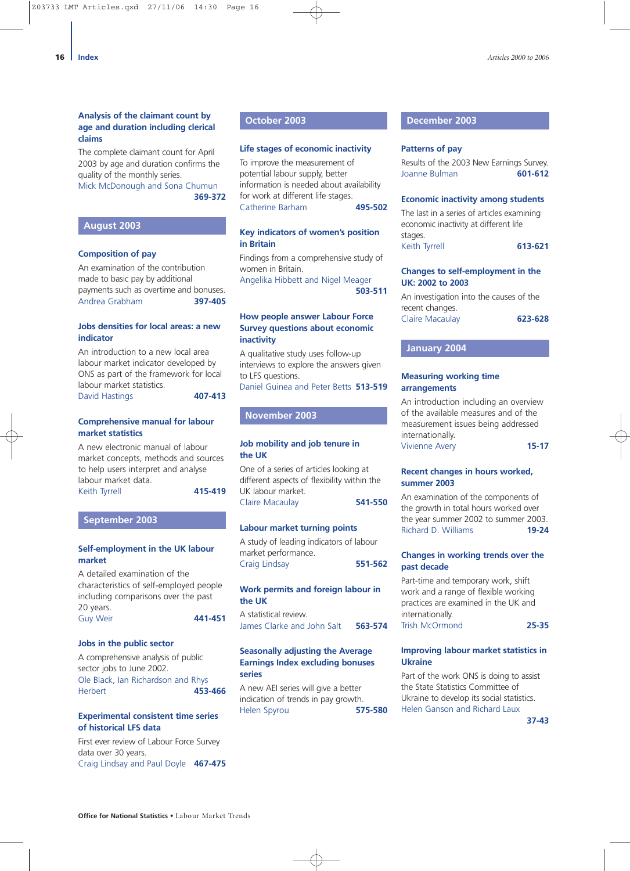#### **Analysis of the claimant count by age and duration including clerical claims**

The complete claimant count for April 2003 by age and duration confirms the quality of the monthly series.

Mick McDonough and Sona Chumun **369-372**

#### **August 2003**

#### **Composition of pay**

An examination of the contribution made to basic pay by additional payments such as overtime and bonuses. Andrea Grabham **397-405**

#### **Jobs densities for local areas: a new indicator**

An introduction to a new local area labour market indicator developed by ONS as part of the framework for local labour market statistics. David Hastings **407-413**

#### **Comprehensive manual for labour market statistics**

A new electronic manual of labour market concepts, methods and sources to help users interpret and analyse labour market data. Keith Tyrrell **415-419**

#### **September 2003**

#### **Self-employment in the UK labour market**

A detailed examination of the characteristics of self-employed people including comparisons over the past 20 years. Guy Weir **441-451**

#### **Jobs in the public sector**

A comprehensive analysis of public sector jobs to June 2002. Ole Black, Ian Richardson and Rhys Herbert **453-466**

#### **Experimental consistent time series of historical LFS data**

First ever review of Labour Force Survey data over 30 years. Craig Lindsay and Paul Doyle **467-475**

#### **October 2003**

#### **Life stages of economic inactivity**

To improve the measurement of potential labour supply, better information is needed about availability for work at different life stages. Catherine Barham **495-502**

**Key indicators of women's position in Britain**

Findings from a comprehensive study of women in Britain.

Angelika Hibbett and Nigel Meager **503-511**

#### **How people answer Labour Force Survey questions about economic inactivity**

A qualitative study uses follow-up interviews to explore the answers given to LFS questions.

Daniel Guinea and Peter Betts **513-519**

#### **November 2003**

#### **Job mobility and job tenure in the UK**

One of a series of articles looking at different aspects of flexibility within the UK labour market. Claire Macaulay **541-550**

**Labour market turning points**

A study of leading indicators of labour market performance. Craig Lindsay **551-562**

#### **Work permits and foreign labour in the UK**

A statistical review. James Clarke and John Salt **563-574**

#### **Seasonally adjusting the Average Earnings Index excluding bonuses series**

A new AEI series will give a better indication of trends in pay growth. Helen Spyrou **575-580**

#### **December 2003**

#### **Patterns of pay**

Results of the 2003 New Earnings Survey. Joanne Bulman **601-612**

#### **Economic inactivity among students**

The last in a series of articles examining economic inactivity at different life stages. Keith Tyrrell **613-621**

#### **Changes to self-employment in the UK: 2002 to 2003**

An investigation into the causes of the recent changes. Claire Macaulay **623-628**

#### **January 2004**

#### **Measuring working time arrangements**

An introduction including an overview of the available measures and of the measurement issues being addressed internationally. Vivienne Avery **15-17**

#### **Recent changes in hours worked, summer 2003**

An examination of the components of the growth in total hours worked over the year summer 2002 to summer 2003. Richard D. Williams **19-24**

#### **Changes in working trends over the past decade**

Part-time and temporary work, shift work and a range of flexible working practices are examined in the UK and internationally. Trish McOrmond **25-35**

#### **Improving labour market statistics in Ukraine**

Part of the work ONS is doing to assist the State Statistics Committee of Ukraine to develop its social statistics. Helen Ganson and Richard Laux

**37-43**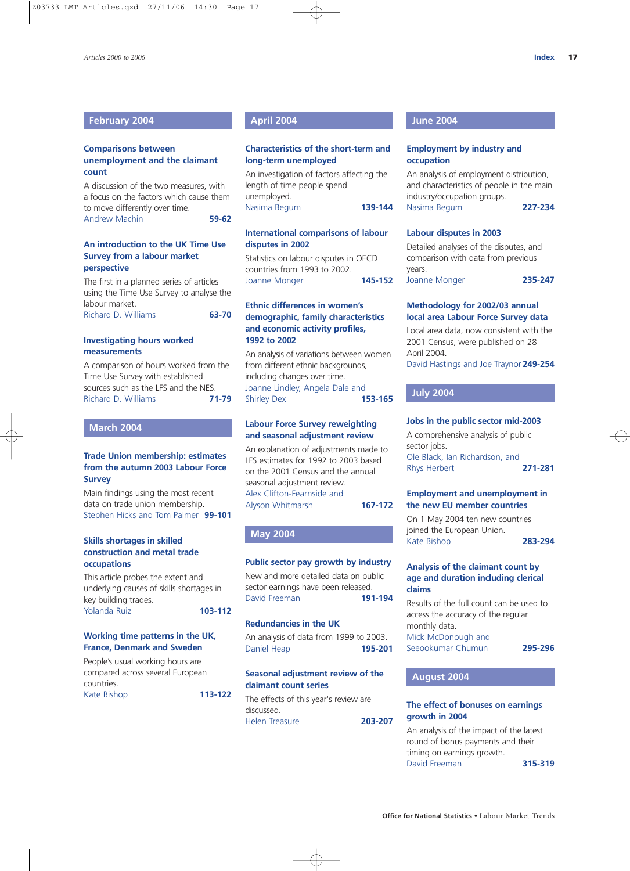#### **February 2004**

#### **Comparisons between unemployment and the claimant count**

A discussion of the two measures, with a focus on the factors which cause them to move differently over time. Andrew Machin **59-62**

#### **An introduction to the UK Time Use Survey from a labour market perspective**

The first in a planned series of articles using the Time Use Survey to analyse the labour market. Richard D. Williams **63-70**

**Investigating hours worked measurements**

A comparison of hours worked from the Time Use Survey with established sources such as the LFS and the NES. Richard D. Williams **71-79**

#### **March 2004**

#### **Trade Union membership: estimates from the autumn 2003 Labour Force Survey**

Main findings using the most recent data on trade union membership. Stephen Hicks and Tom Palmer **99-101**

#### **Skills shortages in skilled construction and metal trade occupations**

This article probes the extent and underlying causes of skills shortages in key building trades. Yolanda Ruiz **103-112**

#### **Working time patterns in the UK, France, Denmark and Sweden**

People's usual working hours are compared across several European countries.

Kate Bishop **113-122**

#### **April 2004**

#### **Characteristics of the short-term and long-term unemployed**

An investigation of factors affecting the length of time people spend unemployed. Nasima Begum **139-144**

#### **International comparisons of labour disputes in 2002**

Statistics on labour disputes in OECD countries from 1993 to 2002. Joanne Monger **145-152**

#### **Ethnic differences in women's demographic, family characteristics and economic activity profiles, 1992 to 2002**

An analysis of variations between women from different ethnic backgrounds, including changes over time. Joanne Lindley, Angela Dale and<br>Shirley Dex 153-165 **Shirley Dex** 

#### **Labour Force Survey reweighting and seasonal adjustment review**

An explanation of adjustments made to LFS estimates for 1992 to 2003 based on the 2001 Census and the annual seasonal adjustment review. Alex Clifton-Fearnside and Alyson Whitmarsh **167-172**

## **May 2004**

#### **Public sector pay growth by industry**

New and more detailed data on public sector earnings have been released. David Freeman **191-194**

#### **Redundancies in the UK**

An analysis of data from 1999 to 2003. Daniel Heap **195-201**

#### **Seasonal adjustment review of the claimant count series**

The effects of this year's review are discussed. Helen Treasure **203-207**

#### **June 2004**

#### **Employment by industry and occupation**

An analysis of employment distribution, and characteristics of people in the main industry/occupation groups. Nasima Begum **227-234**

#### **Labour disputes in 2003**

Detailed analyses of the disputes, and comparison with data from previous years. Joanne Monger **235-247**

#### **Methodology for 2002/03 annual local area Labour Force Survey data**

Local area data, now consistent with the 2001 Census, were published on 28 April 2004.

David Hastings and Joe Traynor **249-254**

#### **July 2004**

#### **Jobs in the public sector mid-2003**

A comprehensive analysis of public sector jobs. Ole Black, Ian Richardson, and Rhys Herbert **271-281**

#### **Employment and unemployment in the new EU member countries**

On 1 May 2004 ten new countries joined the European Union. Kate Bishop **283-294**

#### **Analysis of the claimant count by age and duration including clerical claims**

Results of the full count can be used to access the accuracy of the regular monthly data. Mick McDonough and

Seeookumar Chumun **295-296**

#### **August 2004**

#### **The effect of bonuses on earnings growth in 2004**

An analysis of the impact of the latest round of bonus payments and their timing on earnings growth. David Freeman **315-319**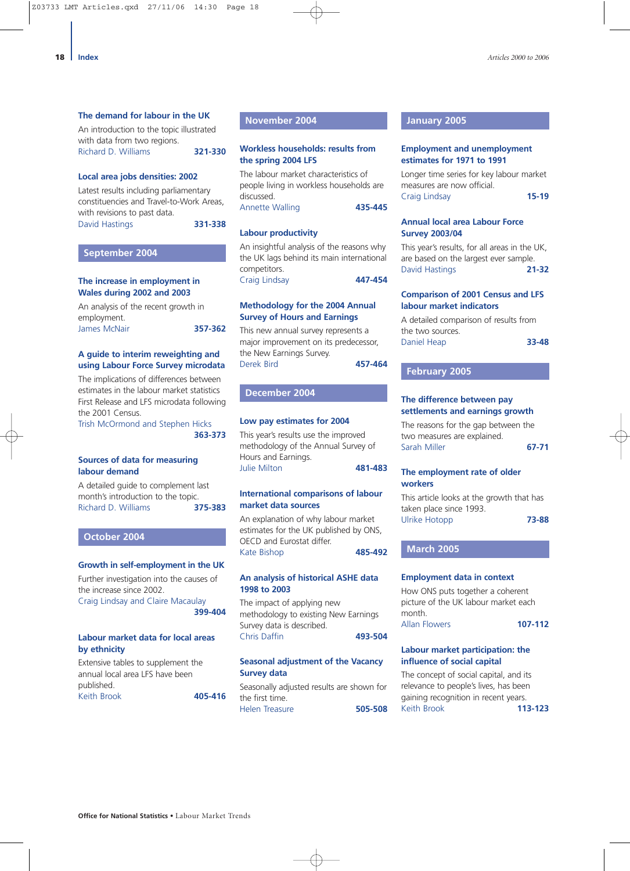#### **The demand for labour in the UK**

An introduction to the topic illustrated with data from two regions. Richard D. Williams **321-330**

**Local area jobs densities: 2002**

Latest results including parliamentary constituencies and Travel-to-Work Areas, with revisions to past data. David Hastings **331-338**

#### **September 2004**

#### **The increase in employment in Wales during 2002 and 2003**

An analysis of the recent growth in employment. James McNair **357-362**

**A guide to interim reweighting and using Labour Force Survey microdata**

The implications of differences between estimates in the labour market statistics First Release and LFS microdata following the 2001 Census.

Trish McOrmond and Stephen Hicks **363-373**

#### **Sources of data for measuring labour demand**

A detailed guide to complement last month's introduction to the topic. Richard D. Williams **375-383**

#### **October 2004**

#### **Growth in self-employment in the UK**

Further investigation into the causes of the increase since 2002. Craig Lindsay and Claire Macaulay **399-404**

## **Labour market data for local areas by ethnicity**

Extensive tables to supplement the annual local area LFS have been published. Keith Brook **405-416**

#### **November 2004**

#### **Workless households: results from the spring 2004 LFS**

The labour market characteristics of people living in workless households are discussed. Annette Walling **435-445**

#### **Labour productivity**

An insightful analysis of the reasons why the UK lags behind its main international competitors. Craig Lindsay **447-454**

#### **Methodology for the 2004 Annual Survey of Hours and Earnings**

This new annual survey represents a major improvement on its predecessor, the New Earnings Survey. Derek Bird **457-464**

#### **December 2004**

#### **Low pay estimates for 2004**

This year's results use the improved methodology of the Annual Survey of Hours and Earnings. Julie Milton **481-483**

#### **International comparisons of labour market data sources**

An explanation of why labour market estimates for the UK published by ONS, OECD and Eurostat differ. Kate Bishop **485-492**

#### **An analysis of historical ASHE data 1998 to 2003**

The impact of applying new methodology to existing New Earnings Survey data is described. Chris Daffin **493-504**

#### **Seasonal adjustment of the Vacancy Survey data**

Seasonally adjusted results are shown for the first time. Helen Treasure **505-508**

#### **January 2005**

#### **Employment and unemployment estimates for 1971 to 1991**

Longer time series for key labour market measures are now official. Craig Lindsay **15-19**

#### **Annual local area Labour Force Survey 2003/04**

This year's results, for all areas in the UK, are based on the largest ever sample. David Hastings **21-32**

#### **Comparison of 2001 Census and LFS labour market indicators**

A detailed comparison of results from the two sources. Daniel Heap **33-48**

#### **February 2005**

#### **The difference between pay settlements and earnings growth**

The reasons for the gap between the two measures are explained. Sarah Miller **67-71**

#### **The employment rate of older workers**

This article looks at the growth that has taken place since 1993. Ulrike Hotopp **73-88**

**March 2005**

#### **Employment data in context**

How ONS puts together a coherent picture of the UK labour market each month. Allan Flowers **107-112**

#### **Labour market participation: the influence of social capital**

The concept of social capital, and its relevance to people's lives, has been gaining recognition in recent years. Keith Brook **113-123**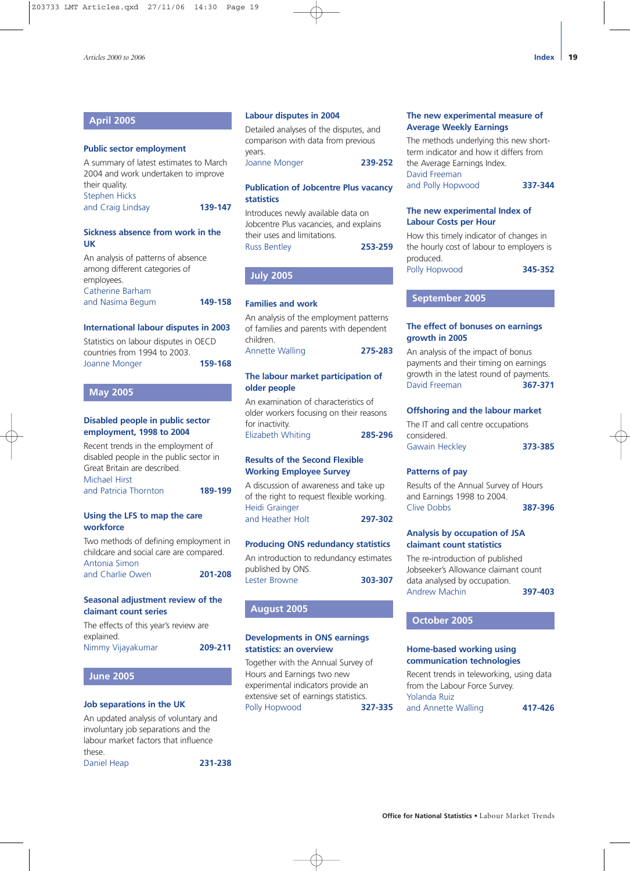#### **April 2005**

#### **Public sector employment**

A summary of latest estimates to March 2004 and work undertaken to improve their quality. Stephen Hicks and Craig Lindsay **139-147**

#### **Sickness absence from work in the UK**

| An analysis of patterns of absence |         |
|------------------------------------|---------|
| among different categories of      |         |
| employees.                         |         |
| Catherine Barham                   |         |
| and Nasima Begum                   | 149-158 |
|                                    |         |

#### **International labour disputes in 2003**

| Statistics on labour disputes in OECD<br>countries from 1994 to 2003. |         |
|-----------------------------------------------------------------------|---------|
| Joanne Monger                                                         | 159-168 |

#### **May 2005**

#### **Disabled people in public sector employment, 1998 to 2004**

Recent trends in the employment of disabled people in the public sector in Great Britain are described. Michael Hirst and Patricia Thornton **189-199**

#### **Using the LFS to map the care workforce**

Two methods of defining employment in childcare and social care are compared. Antonia Simon and Charlie Owen **201-208**

#### **Seasonal adjustment review of the claimant count series**

The effects of this year's review are explained. Nimmy Vijayakumar **209-211**

#### **June 2005**

#### **Job separations in the UK**

An updated analysis of voluntary and involuntary job separations and the labour market factors that influence these.

Daniel Heap **231-238**

#### **Labour disputes in 2004**

Detailed analyses of the disputes, and comparison with data from previous years.

Joanne Monger **239-252**

#### **Publication of Jobcentre Plus vacancy statistics**

Introduces newly available data on Jobcentre Plus vacancies, and explains their uses and limitations. Russ Bentley **253-259**

#### **July 2005**

#### **Families and work**

An analysis of the employment patterns of families and parents with dependent children. Annette Walling **275-283**

#### **The labour market participation of older people**

An examination of characteristics of older workers focusing on their reasons for inactivity. Elizabeth Whiting **285-296**

#### **Results of the Second Flexible Working Employee Survey**

A discussion of awareness and take up of the right to request flexible working. Heidi Grainger and Heather Holt **297-302**

#### **Producing ONS redundancy statistics**

An introduction to redundancy estimates published by ONS. Lester Browne **303-307**

#### **August 2005**

#### **Developments in ONS earnings statistics: an overview**

Together with the Annual Survey of Hours and Earnings two new experimental indicators provide an extensive set of earnings statistics. Polly Hopwood **327-335**

#### **The new experimental measure of Average Weekly Earnings**

The methods underlying this new shortterm indicator and how it differs from the Average Earnings Index. David Freeman and Polly Hopwood **337-344**

#### **The new experimental Index of Labour Costs per Hour**

How this timely indicator of changes in the hourly cost of labour to employers is produced. Polly Hopwood **345-352**

#### **September 2005**

#### **The effect of bonuses on earnings growth in 2005**

An analysis of the impact of bonus payments and their timing on earnings growth in the latest round of payments. David Freeman **367-371**

#### **Offshoring and the labour market**

The IT and call centre occupations considered. Gawain Heckley **373-385**

#### **Patterns of pay**

Results of the Annual Survey of Hours and Earnings 1998 to 2004. Clive Dobbs **387-396**

#### **Analysis by occupation of JSA claimant count statistics**

The re-introduction of published Jobseeker's Allowance claimant count data analysed by occupation. Andrew Machin **397-403**

#### **October 2005**

#### **Home-based working using communication technologies**

Recent trends in teleworking, using data from the Labour Force Survey. Yolanda Ruiz and Annette Walling **417-426**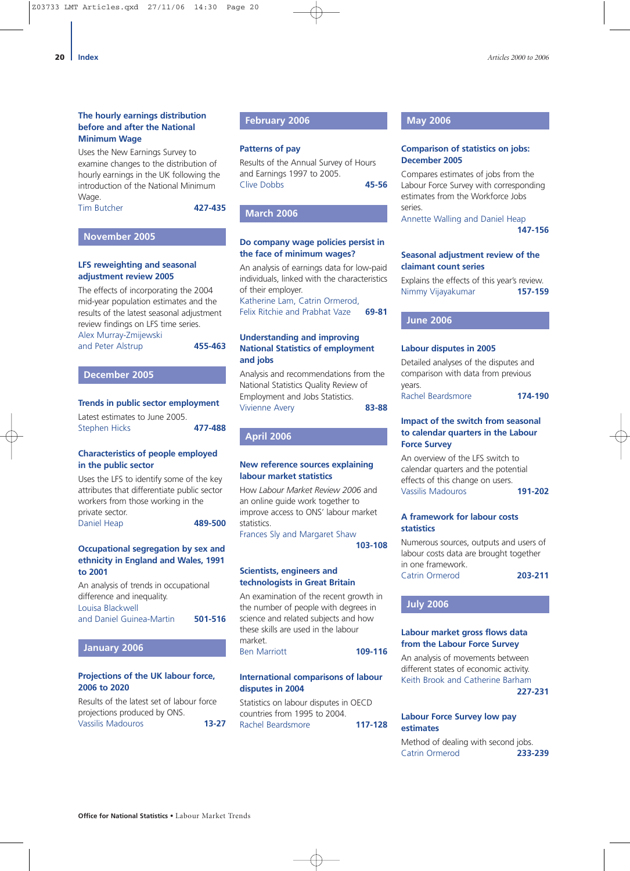#### **The hourly earnings distribution before and after the National Minimum Wage**

Uses the New Earnings Survey to examine changes to the distribution of hourly earnings in the UK following the introduction of the National Minimum Wage.

Tim Butcher **427-435**

#### **November 2005**

#### **LFS reweighting and seasonal adjustment review 2005**

The effects of incorporating the 2004 mid-year population estimates and the results of the latest seasonal adjustment review findings on LFS time series. Alex Murray-Zmijewski

and Peter Alstrup **455-463**

#### **December 2005**

#### **Trends in public sector employment**

Latest estimates to June 2005. Stephen Hicks **477-488**

#### **Characteristics of people employed in the public sector**

Uses the LFS to identify some of the key attributes that differentiate public sector workers from those working in the private sector. Daniel Heap **489-500**

**Occupational segregation by sex and ethnicity in England and Wales, 1991 to 2001**

An analysis of trends in occupational difference and inequality. Louisa Blackwell and Daniel Guinea-Martin **501-516**

#### **January 2006**

#### **Projections of the UK labour force, 2006 to 2020**

Results of the latest set of labour force projections produced by ONS. Vassilis Madouros **13-27**

#### **February 2006**

#### **Patterns of pay**

Results of the Annual Survey of Hours and Earnings 1997 to 2005. Clive Dobbs **45-56**

#### **March 2006**

#### **Do company wage policies persist in the face of minimum wages?**

An analysis of earnings data for low-paid individuals, linked with the characteristics of their employer.

Katherine Lam, Catrin Ormerod, Felix Ritchie and Prabhat Vaze **69-81**

#### **Understanding and improving National Statistics of employment and jobs**

Analysis and recommendations from the National Statistics Quality Review of Employment and Jobs Statistics. Vivienne Avery **83-88**

**April 2006** 

#### **New reference sources explaining labour market statistics**

How *Labour Market Review 2006* and an online guide work together to improve access to ONS' labour market statistics.

Frances Sly and Margaret Shaw **103-108**

**Scientists, engineers and technologists in Great Britain**

An examination of the recent growth in the number of people with degrees in science and related subjects and how these skills are used in the labour market. Ben Marriott **109-116**

#### **International comparisons of labour disputes in 2004**

Statistics on labour disputes in OECD countries from 1995 to 2004. Rachel Beardsmore **117-128**

#### **May 2006**

#### **Comparison of statistics on jobs: December 2005**

Compares estimates of jobs from the Labour Force Survey with corresponding estimates from the Workforce Jobs series.

Annette Walling and Daniel Heap **147-156**

#### **Seasonal adjustment review of the claimant count series**

Explains the effects of this year's review. Nimmy Vijayakumar **157-159**

#### **June 2006**

#### **Labour disputes in 2005**

Detailed analyses of the disputes and comparison with data from previous years.

Rachel Beardsmore **174-190**

#### **Impact of the switch from seasonal to calendar quarters in the Labour Force Survey**

An overview of the LFS switch to calendar quarters and the potential effects of this change on users. Vassilis Madouros **191-202**

#### **A framework for labour costs statistics**

Numerous sources, outputs and users of labour costs data are brought together in one framework. Catrin Ormerod **203-211**

#### **July 2006**

#### **Labour market gross flows data from the Labour Force Survey**

An analysis of movements between different states of economic activity. Keith Brook and Catherine Barham **227-231**

#### **Labour Force Survey low pay estimates**

Method of dealing with second jobs. Catrin Ormerod **233-239**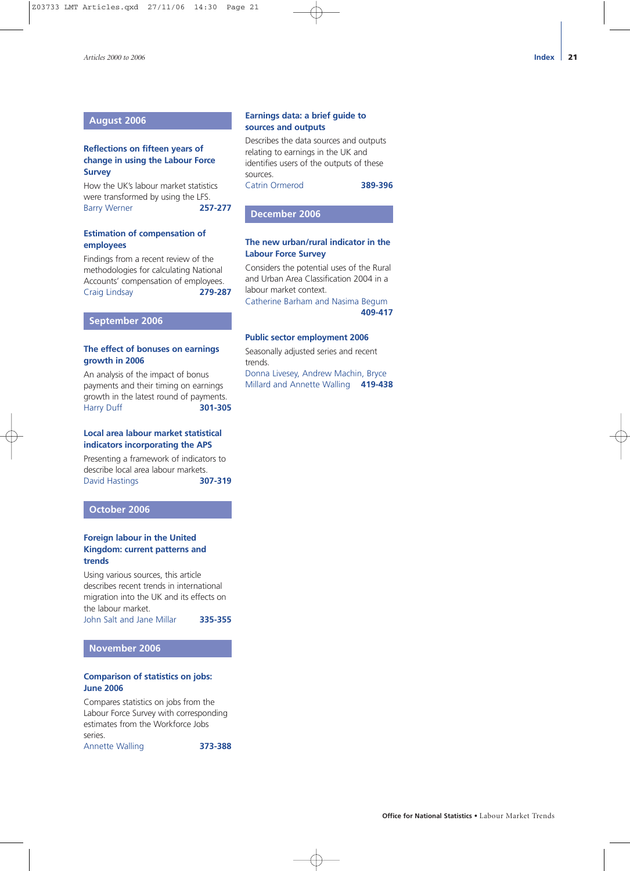#### **August 2006**

#### **Reflections on fifteen years of change in using the Labour Force Survey**

How the UK's labour market statistics were transformed by using the LFS.<br>Barry Werner 257-277 **Barry Werner** 

#### **Estimation of compensation of employees**

Findings from a recent review of the methodologies for calculating National Accounts' compensation of employees. Craig Lindsay **279-287**

#### **September 2006**

#### **The effect of bonuses on earnings growth in 2006**

An analysis of the impact of bonus payments and their timing on earnings growth in the latest round of payments. Harry Duff **301-305**

#### **Local area labour market statistical indicators incorporating the APS**

Presenting a framework of indicators to describe local area labour markets. David Hastings **307-319**

**October 2006** 

#### **Foreign labour in the United Kingdom: current patterns and trends**

Using various sources, this article describes recent trends in international migration into the UK and its effects on the labour market.

John Salt and Jane Millar **335-355**

#### **November 2006**

#### **Comparison of statistics on jobs: June 2006**

Compares statistics on jobs from the Labour Force Survey with corresponding estimates from the Workforce Jobs series.

Annette Walling **373-388**

#### **Earnings data: a brief guide to sources and outputs**

Describes the data sources and outputs relating to earnings in the UK and identifies users of the outputs of these sources. Catrin Ormerod **389-396**

### **December 2006**

#### **The new urban/rural indicator in the Labour Force Survey**

Considers the potential uses of the Rural and Urban Area Classification 2004 in a labour market context.

Catherine Barham and Nasima Begum **409-417**

#### **Public sector employment 2006**

Seasonally adjusted series and recent trends.

Donna Livesey, Andrew Machin, Bryce Millard and Annette Walling **419-438**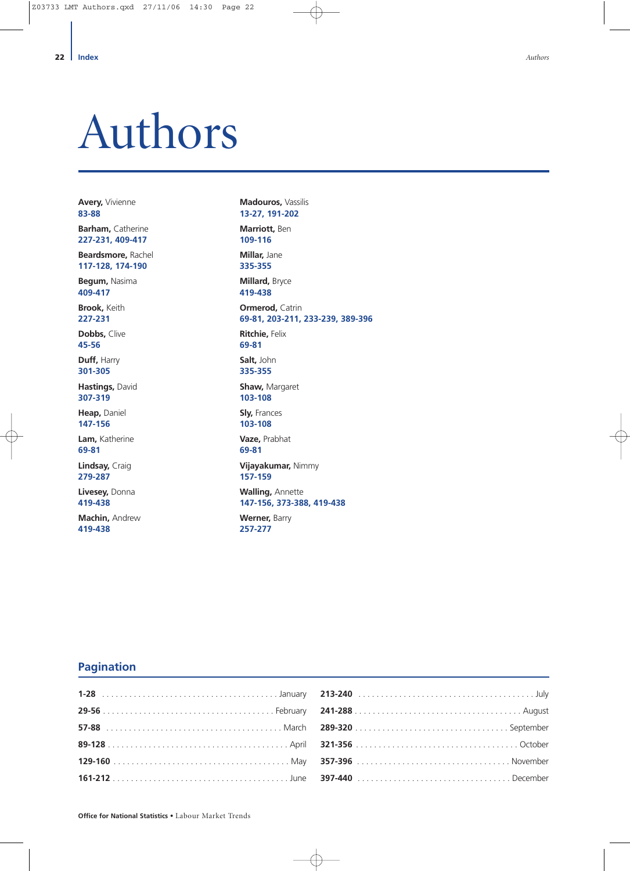# <span id="page-21-0"></span>Authors

**Avery,** Vivienne **83-88**

**Barham,** Catherine **227-231, 409-417**

**Beardsmore,** Rachel **117-128, 174-190**

**Begum,** Nasima **409-417**

**Brook,** Keith **227-231**

**Dobbs,** Clive **45-56**

**Duff,** Harry **301-305**

**Hastings,** David **307-319**

**Heap,** Daniel **147-156**

**Lam,** Katherine **69-81**

**Lindsay,** Craig **279-287**

**Livesey,** Donna **419-438**

**Machin,** Andrew **419-438**

**Madouros,** Vassilis **13-27, 191-202**

**Marriott,** Ben **109-116 Millar,** Jane

**335-355 Millard,** Bryce **419-438 Ormerod,** Catrin **69-81, 203-211, 233-239, 389-396** 

**Ritchie,** Felix **69-81**

**Salt,** John **335-355**

**Shaw,** Margaret **103-108**

**Sly,** Frances **103-108**

**Vaze,** Prabhat **69-81**

**Vijayakumar,** Nimmy **157-159**

**Walling,** Annette **147-156, 373-388, 419-438**

**Werner,** Barry **257-277**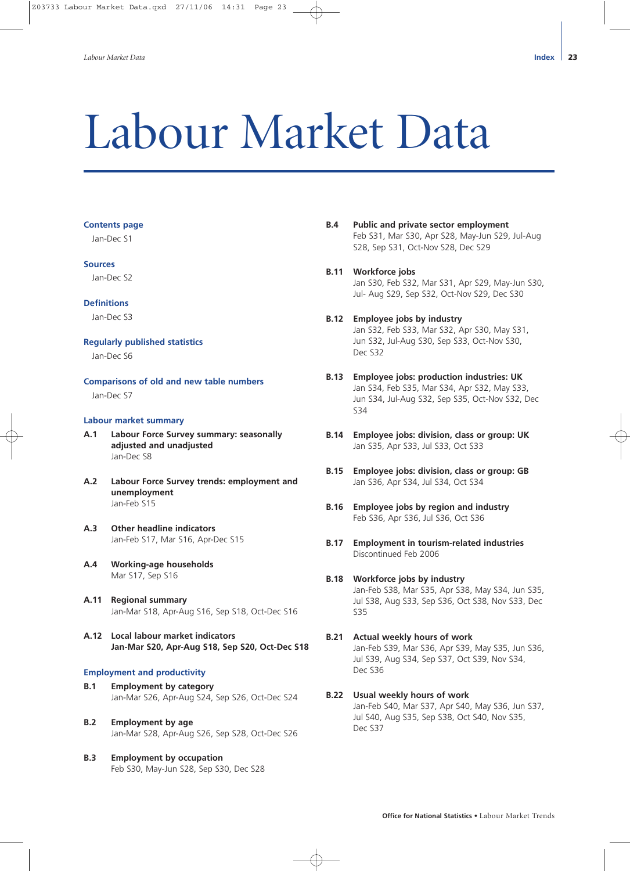# <span id="page-22-0"></span>Labour Market Data

#### **Contents page**

Jan-Dec S1

#### **Sources**

Jan-Dec S2

#### **Definitions**

Jan-Dec S3

#### **Regularly published statistics**

Jan-Dec S6

**Comparisons of old and new table numbers** Jan-Dec S7

#### **Labour market summary**

- **A.1 Labour Force Survey summary: seasonally adjusted and unadjusted** Jan-Dec S8
- **A.2 Labour Force Survey trends: employment and unemployment** Jan-Feb S15
- **A.3 Other headline indicators** Jan-Feb S17, Mar S16, Apr-Dec S15
- **A.4 Working-age households** Mar S17, Sep S16
- **A.11 Regional summary** Jan-Mar S18, Apr-Aug S16, Sep S18, Oct-Dec S16
- **A.12 Local labour market indicators Jan-Mar S20, Apr-Aug S18, Sep S20, Oct-Dec S18**

#### **Employment and productivity**

- **B.1 Employment by category** Jan-Mar S26, Apr-Aug S24, Sep S26, Oct-Dec S24
- **B.2 Employment by age** Jan-Mar S28, Apr-Aug S26, Sep S28, Oct-Dec S26
- **B.3 Employment by occupation** Feb S30, May-Jun S28, Sep S30, Dec S28
- **B.4 Public and private sector employment** Feb S31, Mar S30, Apr S28, May-Jun S29, Jul-Aug S28, Sep S31, Oct-Nov S28, Dec S29
- **B.11 Workforce jobs** Jan S30, Feb S32, Mar S31, Apr S29, May-Jun S30, Jul- Aug S29, Sep S32, Oct-Nov S29, Dec S30

#### **B.12 Employee jobs by industry**  Jan S32, Feb S33, Mar S32, Apr S30, May S31, Jun S32, Jul-Aug S30, Sep S33, Oct-Nov S30, Dec S32

- **B.13 Employee jobs: production industries: UK** Jan S34, Feb S35, Mar S34, Apr S32, May S33, Jun S34, Jul-Aug S32, Sep S35, Oct-Nov S32, Dec S34
- **B.14 Employee jobs: division, class or group: UK** Jan S35, Apr S33, Jul S33, Oct S33
- **B.15 Employee jobs: division, class or group: GB** Jan S36, Apr S34, Jul S34, Oct S34
- **B.16 Employee jobs by region and industry** Feb S36, Apr S36, Jul S36, Oct S36
- **B.17 Employment in tourism-related industries** Discontinued Feb 2006

# **B.18 Workforce jobs by industry**

Jan-Feb S38, Mar S35, Apr S38, May S34, Jun S35, Jul S38, Aug S33, Sep S36, Oct S38, Nov S33, Dec S35

**B.21 Actual weekly hours of work** Jan-Feb S39, Mar S36, Apr S39, May S35, Jun S36, Jul S39, Aug S34, Sep S37, Oct S39, Nov S34, Dec S36

#### **B.22 Usual weekly hours of work**

Jan-Feb S40, Mar S37, Apr S40, May S36, Jun S37, Jul S40, Aug S35, Sep S38, Oct S40, Nov S35, Dec S37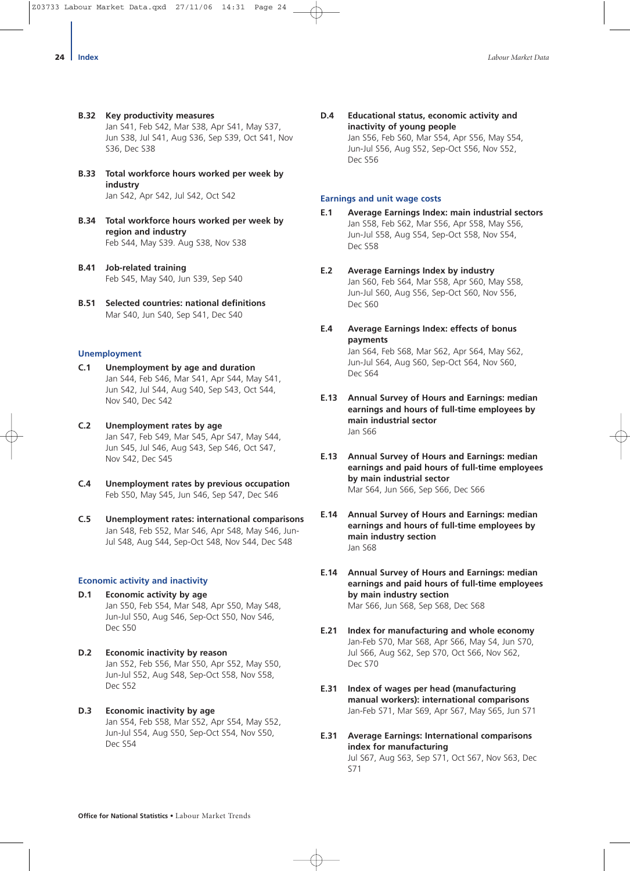- **B.32 Key productivity measures** Jan S41, Feb S42, Mar S38, Apr S41, May S37, Jun S38, Jul S41, Aug S36, Sep S39, Oct S41, Nov S36, Dec S38
- **B.33 Total workforce hours worked per week by industry** Jan S42, Apr S42, Jul S42, Oct S42
- **B.34 Total workforce hours worked per week by region and industry** Feb S44, May S39. Aug S38, Nov S38
- **B.41 Job-related training** Feb S45, May S40, Jun S39, Sep S40
- **B.51 Selected countries: national definitions** Mar S40, Jun S40, Sep S41, Dec S40

#### **Unemployment**

- **C.1 Unemployment by age and duration** Jan S44, Feb S46, Mar S41, Apr S44, May S41, Jun S42, Jul S44, Aug S40, Sep S43, Oct S44, Nov S40, Dec S42
- **C.2 Unemployment rates by age**  Jan S47, Feb S49, Mar S45, Apr S47, May S44, Jun S45, Jul S46, Aug S43, Sep S46, Oct S47, Nov S42, Dec S45
- **C.4 Unemployment rates by previous occupation** Feb S50, May S45, Jun S46, Sep S47, Dec S46
- **C.5 Unemployment rates: international comparisons** Jan S48, Feb S52, Mar S46, Apr S48, May S46, Jun-Jul S48, Aug S44, Sep-Oct S48, Nov S44, Dec S48

#### **Economic activity and inactivity**

- **D.1 Economic activity by age** Jan S50, Feb S54, Mar S48, Apr S50, May S48, Jun-Jul S50, Aug S46, Sep-Oct S50, Nov S46, Dec S50
- **D.2 Economic inactivity by reason** Jan S52, Feb S56, Mar S50, Apr S52, May S50, Jun-Jul S52, Aug S48, Sep-Oct S58, Nov S58, Dec S52
- **D.3 Economic inactivity by age** Jan S54, Feb S58, Mar S52, Apr S54, May S52, Jun-Jul S54, Aug S50, Sep-Oct S54, Nov S50, Dec S54

**D.4 Educational status, economic activity and inactivity of young people** Jan S56, Feb S60, Mar S54, Apr S56, May S54, Jun-Jul S56, Aug S52, Sep-Oct S56, Nov S52, Dec S56

#### **Earnings and unit wage costs**

- **E.1 Average Earnings Index: main industrial sectors** Jan S58, Feb S62, Mar S56, Apr S58, May S56, Jun-Jul S58, Aug S54, Sep-Oct S58, Nov S54, Dec S58
- **E.2 Average Earnings Index by industry** Jan S60, Feb S64, Mar S58, Apr S60, May S58, Jun-Jul S60, Aug S56, Sep-Oct S60, Nov S56, Dec S60
- **E.4 Average Earnings Index: effects of bonus payments** Jan S64, Feb S68, Mar S62, Apr S64, May S62, Jun-Jul S64, Aug S60, Sep-Oct S64, Nov S60, Dec S64
- **E.13 Annual Survey of Hours and Earnings: median earnings and hours of full-time employees by main industrial sector** Jan S66
- **E.13 Annual Survey of Hours and Earnings: median earnings and paid hours of full-time employees by main industrial sector** Mar S64, Jun S66, Sep S66, Dec S66
- **E.14 Annual Survey of Hours and Earnings: median earnings and hours of full-time employees by main industry section** Jan S68
- **E.14 Annual Survey of Hours and Earnings: median earnings and paid hours of full-time employees by main industry section** Mar S66, Jun S68, Sep S68, Dec S68
- **E.21 Index for manufacturing and whole economy**  Jan-Feb S70, Mar S68, Apr S66, May S4, Jun S70, Jul S66, Aug S62, Sep S70, Oct S66, Nov S62, Dec S70
- **E.31 Index of wages per head (manufacturing manual workers): international comparisons** Jan-Feb S71, Mar S69, Apr S67, May S65, Jun S71
- **E.31 Average Earnings: International comparisons index for manufacturing**

Jul S67, Aug S63, Sep S71, Oct S67, Nov S63, Dec S71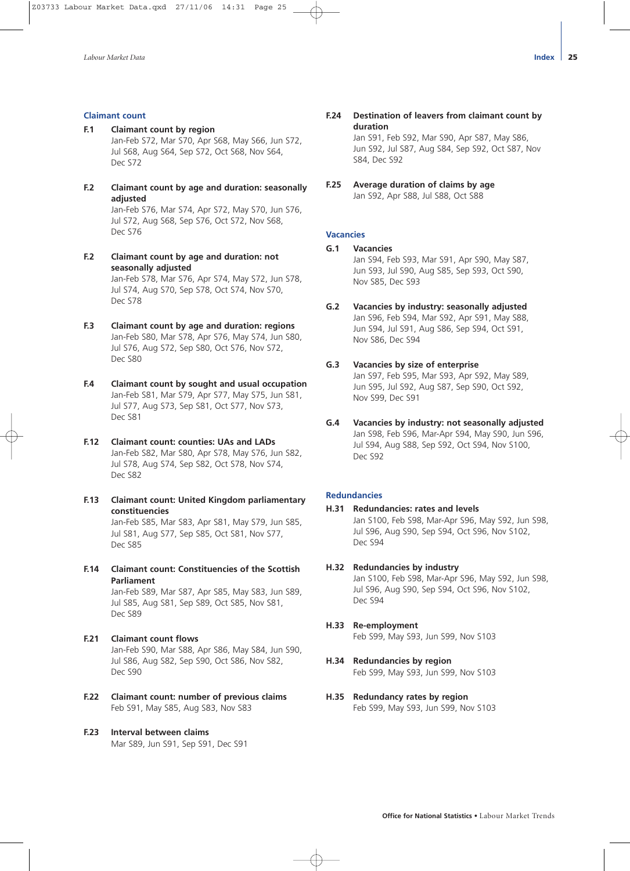#### **Claimant count**

- **F.1 Claimant count by region** Jan-Feb S72, Mar S70, Apr S68, May S66, Jun S72, Jul S68, Aug S64, Sep S72, Oct S68, Nov S64, Dec S72
- **F.2 Claimant count by age and duration: seasonally adjusted**

Jan-Feb S76, Mar S74, Apr S72, May S70, Jun S76, Jul S72, Aug S68, Sep S76, Oct S72, Nov S68, Dec S76

**F.2 Claimant count by age and duration: not seasonally adjusted** Jan-Feb S78, Mar S76, Apr S74, May S72, Jun S78,

Jul S74, Aug S70, Sep S78, Oct S74, Nov S70, Dec S78

- **F.3 Claimant count by age and duration: regions**  Jan-Feb S80, Mar S78, Apr S76, May S74, Jun S80, Jul S76, Aug S72, Sep S80, Oct S76, Nov S72, Dec S80
- **F.4 Claimant count by sought and usual occupation**  Jan-Feb S81, Mar S79, Apr S77, May S75, Jun S81, Jul S77, Aug S73, Sep S81, Oct S77, Nov S73, Dec S81
- **F.12 Claimant count: counties: UAs and LADs**  Jan-Feb S82, Mar S80, Apr S78, May S76, Jun S82, Jul S78, Aug S74, Sep S82, Oct S78, Nov S74, Dec S82
- **F.13 Claimant count: United Kingdom parliamentary constituencies**  Jan-Feb S85, Mar S83, Apr S81, May S79, Jun S85, Jul S81, Aug S77, Sep S85, Oct S81, Nov S77, Dec S85
- **F.14 Claimant count: Constituencies of the Scottish Parliament**  Jan-Feb S89, Mar S87, Apr S85, May S83, Jun S89, Jul S85, Aug S81, Sep S89, Oct S85, Nov S81, Dec S89
- **F.21 Claimant count flows** Jan-Feb S90, Mar S88, Apr S86, May S84, Jun S90, Jul S86, Aug S82, Sep S90, Oct S86, Nov S82, Dec S90
- **F.22 Claimant count: number of previous claims**  Feb S91, May S85, Aug S83, Nov S83
- **F.23 Interval between claims**  Mar S89, Jun S91, Sep S91, Dec S91

**F.24 Destination of leavers from claimant count by duration**

> Jan S91, Feb S92, Mar S90, Apr S87, May S86, Jun S92, Jul S87, Aug S84, Sep S92, Oct S87, Nov S84, Dec S92

**F.25 Average duration of claims by age**  Jan S92, Apr S88, Jul S88, Oct S88

#### **Vacancies**

- **G.1 Vacancies**  Jan S94, Feb S93, Mar S91, Apr S90, May S87, Jun S93, Jul S90, Aug S85, Sep S93, Oct S90, Nov S85, Dec S93
- **G.2 Vacancies by industry: seasonally adjusted** Jan S96, Feb S94, Mar S92, Apr S91, May S88, Jun S94, Jul S91, Aug S86, Sep S94, Oct S91, Nov S86, Dec S94
- **G.3 Vacancies by size of enterprise** Jan S97, Feb S95, Mar S93, Apr S92, May S89, Jun S95, Jul S92, Aug S87, Sep S90, Oct S92, Nov S99, Dec S91
- **G.4 Vacancies by industry: not seasonally adjusted** Jan S98, Feb S96, Mar-Apr S94, May S90, Jun S96, Jul S94, Aug S88, Sep S92, Oct S94, Nov S100, Dec S92

#### **Redundancies**

- **H.31 Redundancies: rates and levels**  Jan S100, Feb S98, Mar-Apr S96, May S92, Jun S98, Jul S96, Aug S90, Sep S94, Oct S96, Nov S102, Dec S94
- **H.32 Redundancies by industry**  Jan S100, Feb S98, Mar-Apr S96, May S92, Jun S98, Jul S96, Aug S90, Sep S94, Oct S96, Nov S102, Dec S94

# **H.33 Re-employment**

Feb S99, May S93, Jun S99, Nov S103

- **H.34 Redundancies by region** Feb S99, May S93, Jun S99, Nov S103
- **H.35 Redundancy rates by region** Feb S99, May S93, Jun S99, Nov S103